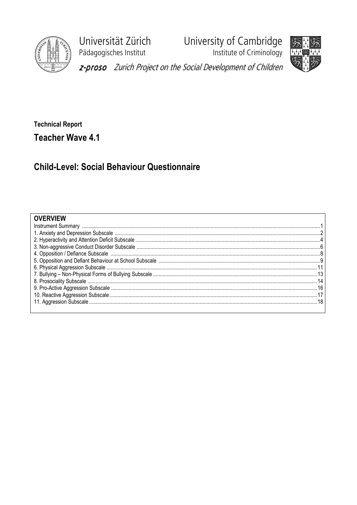

Universität Zürich Pädagogisches Institut

University of Cambridge<br>Institute of Criminology



z-proso Zurich Project on the Social Development of Children

**Technical Report Teacher Wave 4.1** 

**Child-Level: Social Behaviour Questionnaire** 

## **OVERVIEW**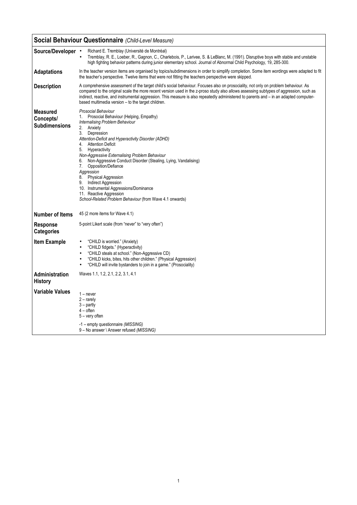|                                                      | <b>Social Behaviour Questionnaire (Child-Level Measure)</b>                                                                                                                                                                                                                                                                                                                                                                                                                                                                                                                                                        |
|------------------------------------------------------|--------------------------------------------------------------------------------------------------------------------------------------------------------------------------------------------------------------------------------------------------------------------------------------------------------------------------------------------------------------------------------------------------------------------------------------------------------------------------------------------------------------------------------------------------------------------------------------------------------------------|
| Source/Developer •                                   | Richard E. Tremblay (Université de Montréal)<br>Tremblay, R. E., Loeber, R., Gagnon, C., Charlebois, P., Larivee, S. & LeBlanc, M. (1991). Disruptive boys with stable and unstable<br>$\bullet$<br>high fighting behavior patterns during junior elementary school. Journal of Abnormal Child Psychology, 19, 285-300.                                                                                                                                                                                                                                                                                            |
| <b>Adaptations</b>                                   | In the teacher version items are organised by topics/subdimensions in order to simplify completion. Some item wordings were adapted to fit<br>the teacher's perspective. Twelve items that were not fitting the teachers perspective were skipped.                                                                                                                                                                                                                                                                                                                                                                 |
| <b>Description</b>                                   | A comprehensive assessment of the target child's social behaviour. Focuses also on prosociality, not only on problem behaviour. As<br>compared to the original scale the more recent version used in the z-proso study also allows assessing subtypes of aggression, such as<br>indirect, reactive, and instrumental aggression. This measure is also repeatedly administered to parents and – in an adapted computer-<br>based multimedia version - to the target children.                                                                                                                                       |
| <b>Measured</b><br>Concepts/<br><b>Subdimensions</b> | Prosocial Behaviour<br>Prosocial Behaviour (Helping, Empathy)<br>1.<br>Internalising Problem Behaviour<br>2. Anxiety<br>3.<br>Depression<br>Attention-Deficit and Hyperactivity Disorder (ADHD)<br><b>Attention Deficit</b><br>4.<br>5.<br>Hyperactivity<br>Non-Aggressive Externalising Problem Behaviour<br>Non-Aggressive Conduct Disorder (Stealing, Lying, Vandalising)<br>6.<br>Opposition/Defiance<br>7.<br>Aggression<br>8. Physical Aggression<br>9. Indirect Aggression<br>10. Instrumental Aggressions/Dominance<br>11. Reactive Aggression<br>School-Related Problem Behaviour (from Wave 4.1 onwards) |
| <b>Number of Items</b>                               | 45 (2 more items for Wave 4.1)                                                                                                                                                                                                                                                                                                                                                                                                                                                                                                                                                                                     |
| <b>Response</b><br><b>Categories</b>                 | 5-point Likert scale (from "never" to "very often")                                                                                                                                                                                                                                                                                                                                                                                                                                                                                                                                                                |
| <b>Item Example</b>                                  | "CHILD is worried." (Anxiety)<br>"CHILD fidgets." (Hyperactivity)<br>"CHILD steals at school." (Non-Aggressive CD)<br>"CHILD kicks, bites, hits other children." (Physical Aggression)<br>"CHILD will invite bystanders to join in a game." (Prosociality)                                                                                                                                                                                                                                                                                                                                                         |
| <b>Administration</b><br><b>History</b>              | Waves 1.1, 1.2, 2.1, 2.2, 3.1, 4.1                                                                                                                                                                                                                                                                                                                                                                                                                                                                                                                                                                                 |
| <b>Variable Values</b>                               | $1 -$ never<br>$2 -$ rarely<br>$3 -$ partly<br>$4$ – often<br>5 – very often                                                                                                                                                                                                                                                                                                                                                                                                                                                                                                                                       |
|                                                      | -1 – empty questionnaire (MISSING)<br>9 - No answer \ Answer refused (MISSING)                                                                                                                                                                                                                                                                                                                                                                                                                                                                                                                                     |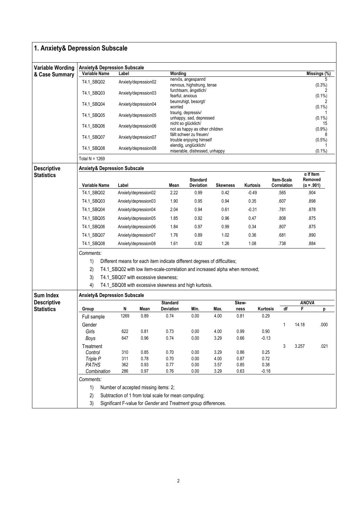| 1. Anxiety& Depression Subscale |                                                                                 |                                                                              |                      |                                                       |                                                         |                 |          |                           |              |                                                  |  |  |  |  |
|---------------------------------|---------------------------------------------------------------------------------|------------------------------------------------------------------------------|----------------------|-------------------------------------------------------|---------------------------------------------------------|-----------------|----------|---------------------------|--------------|--------------------------------------------------|--|--|--|--|
| <b>Variable Wording</b>         | <b>Anxiety&amp; Depression Subscale</b>                                         |                                                                              |                      |                                                       |                                                         |                 |          |                           |              |                                                  |  |  |  |  |
| & Case Summary                  | <b>Variable Name</b>                                                            | Label                                                                        |                      | Wording                                               |                                                         |                 |          |                           |              | Missings (%)                                     |  |  |  |  |
|                                 | T4.1_SBQ02                                                                      |                                                                              | Anxiety/depression02 |                                                       | nervös, angespannt/<br>nervous, highstrung, tense       |                 |          |                           |              | (0.3%)                                           |  |  |  |  |
|                                 | T4.1_SBQ03                                                                      |                                                                              | Anxiety/depression03 | fearful, anxious                                      | furchtsam, ängstlich/                                   |                 |          |                           |              | 2<br>$(0.1\%)$                                   |  |  |  |  |
|                                 | T4.1_SBQ04                                                                      |                                                                              | Anxiety/depression04 | worried                                               | beunruhigt, besorgt/                                    |                 |          |                           |              | $(0.1\%)$                                        |  |  |  |  |
|                                 | T4.1_SBQ05                                                                      |                                                                              | Anxiety/depression05 |                                                       | traurig, depressiv/<br>unhappy, sad, depressed          |                 |          |                           |              | $(0.1\%)$                                        |  |  |  |  |
|                                 | T4.1_SBQ06                                                                      |                                                                              | Anxiety/depression06 |                                                       | nicht so glücklich/<br>not as happy as other children   |                 |          |                           | 15<br>(0.9%  |                                                  |  |  |  |  |
|                                 | T4.1_SBQ07                                                                      |                                                                              | Anxiety/depression07 |                                                       | fällt schwer zu freuen/<br>trouble enjoying himself     |                 |          |                           | $(0.5\%)$    |                                                  |  |  |  |  |
|                                 | T4.1_SBQ08                                                                      |                                                                              | Anxiety/depression08 |                                                       | elendig, unglücklich/<br>miserable, distressed, unhappy |                 |          |                           |              | $(0.1\%)$                                        |  |  |  |  |
|                                 | Total $N = 1269$                                                                |                                                                              |                      |                                                       |                                                         |                 |          |                           |              |                                                  |  |  |  |  |
| <b>Descriptive</b>              | <b>Anxiety&amp; Depression Subscale</b>                                         |                                                                              |                      |                                                       |                                                         |                 |          |                           |              |                                                  |  |  |  |  |
| <b>Statistics</b>               | Variable Name                                                                   | Label                                                                        |                      | Mean                                                  | <b>Standard</b><br>Deviation                            | <b>Skewness</b> | Kurtosis | Item-Scale<br>Correlation |              | $\alpha$ If Item<br>Removed<br>$(\alpha = .901)$ |  |  |  |  |
|                                 | T4.1 SBQ02                                                                      |                                                                              | Anxiety/depression02 |                                                       | 0.99                                                    | 0.42            | $-0.49$  | .565                      |              | .904                                             |  |  |  |  |
|                                 | T4.1_SBQ03                                                                      | Anxiety/depression03                                                         |                      | 2.22<br>1.90                                          | 0.95                                                    | 0.94            | 0.35     | .607                      |              | .898                                             |  |  |  |  |
|                                 |                                                                                 |                                                                              |                      |                                                       |                                                         |                 |          |                           |              |                                                  |  |  |  |  |
|                                 | T4.1_SBQ04                                                                      | Anxiety/depression04                                                         |                      | 2.04                                                  | 0.94                                                    | 0.61            | $-0.31$  | .781                      |              | .878                                             |  |  |  |  |
|                                 | T4.1_SBQ05                                                                      | Anxiety/depression05                                                         |                      | 1.85                                                  | 0.92                                                    | 0.96            | 0.47     | .808                      |              | .875                                             |  |  |  |  |
|                                 | T4.1_SBQ06                                                                      | Anxiety/depression06                                                         |                      | 1.84                                                  | 0.97                                                    | 0.99            | 0.34     | .807                      |              | .875                                             |  |  |  |  |
|                                 | T4.1_SBQ07                                                                      | Anxiety/depression07                                                         |                      | 1.76                                                  | 0.89                                                    | 1.02            | 0.36     | .681                      |              | .890                                             |  |  |  |  |
|                                 | T4.1_SBQ08                                                                      | Anxiety/depression08                                                         |                      | 1.61                                                  | 0.82                                                    | 1.26            | 1.08     | .738                      |              | .884                                             |  |  |  |  |
|                                 | Comments:                                                                       |                                                                              |                      |                                                       |                                                         |                 |          |                           |              |                                                  |  |  |  |  |
|                                 | 1)<br>Different means for each item indicate different degrees of difficulties; |                                                                              |                      |                                                       |                                                         |                 |          |                           |              |                                                  |  |  |  |  |
|                                 | 2)                                                                              | T4.1_SBQ02 with low item-scale-correlation and increased alpha when removed; |                      |                                                       |                                                         |                 |          |                           |              |                                                  |  |  |  |  |
|                                 | 3)                                                                              | T4.1_SBQ07 with excessive skewness;                                          |                      |                                                       |                                                         |                 |          |                           |              |                                                  |  |  |  |  |
|                                 | 4)<br>T4.1_SBQ08 with excessive skewness and high kurtosis.                     |                                                                              |                      |                                                       |                                                         |                 |          |                           |              |                                                  |  |  |  |  |
| Sum Index                       | <b>Anxiety&amp; Depression Subscale</b>                                         |                                                                              |                      |                                                       |                                                         |                 |          |                           |              |                                                  |  |  |  |  |
| <b>Descriptive</b>              |                                                                                 |                                                                              |                      | <b>Standard</b>                                       |                                                         |                 | Skew-    |                           | <b>ANOVA</b> |                                                  |  |  |  |  |
| <b>Statistics</b>               | Group                                                                           | N                                                                            | Mean                 | <b>Deviation</b>                                      | Min.                                                    | Max.            | ness     | df<br>Kurtosis            | F            | μ                                                |  |  |  |  |
|                                 | Full sample                                                                     | 1269                                                                         | 0.89                 | 0.74                                                  | 0.00                                                    | 4.00            | 0.81     | 0.29                      |              |                                                  |  |  |  |  |
|                                 | Gender                                                                          |                                                                              |                      |                                                       |                                                         |                 |          | 1                         | 14.18        | .000                                             |  |  |  |  |
|                                 | Girls                                                                           | 622                                                                          | 0.81                 | 0.73                                                  | 0.00                                                    | 4.00            | 0.99     | 0.90                      |              |                                                  |  |  |  |  |
|                                 | <b>Boys</b>                                                                     | 647                                                                          | 0.96                 | 0.74                                                  | 0.00                                                    | 3.29            | 0.66     | $-0.13$                   |              |                                                  |  |  |  |  |
|                                 | Treatment<br>Control                                                            | 310                                                                          | 0.85                 | 0.70                                                  | 0.00                                                    | 3.29            | 0.86     | 3<br>0.25                 | 3.257        | .021                                             |  |  |  |  |
|                                 | Triple P                                                                        | 311                                                                          | 0.78                 | 0.70                                                  | 0.00                                                    | 4.00            | 0.87     | 0.72                      |              |                                                  |  |  |  |  |
|                                 | <b>PATHS</b>                                                                    | 362                                                                          | 0.93                 | 0.77                                                  | 0.00                                                    | 3.57            | 0.85     | 0.38                      |              |                                                  |  |  |  |  |
|                                 | Combination                                                                     | 286                                                                          | 0.97                 | 0.76                                                  | 0.00                                                    | 3.29            | 0.63     | $-0.18$                   |              |                                                  |  |  |  |  |
|                                 | Comments:                                                                       |                                                                              |                      |                                                       |                                                         |                 |          |                           |              |                                                  |  |  |  |  |
|                                 | 1)<br>Number of accepted missing items: 2;                                      |                                                                              |                      |                                                       |                                                         |                 |          |                           |              |                                                  |  |  |  |  |
|                                 | 2)                                                                              |                                                                              |                      | Subtraction of 1 from total scale for mean computing; |                                                         |                 |          |                           |              |                                                  |  |  |  |  |
|                                 | 3)                                                                              | Significant F-value for Gender and Treatment group differences.              |                      |                                                       |                                                         |                 |          |                           |              |                                                  |  |  |  |  |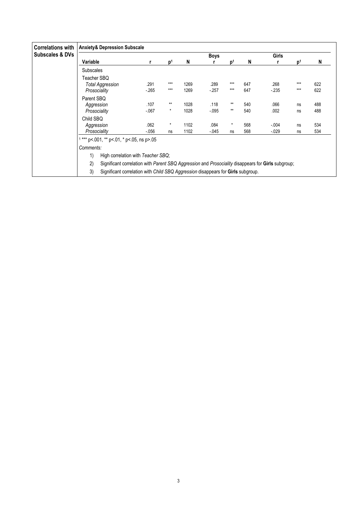| <b>Correlations with</b>   | <b>Anxiety&amp; Depression Subscale</b>                                                                  |          |                |      |          |         |     |         |                |     |  |  |
|----------------------------|----------------------------------------------------------------------------------------------------------|----------|----------------|------|----------|---------|-----|---------|----------------|-----|--|--|
| <b>Subscales &amp; DVs</b> |                                                                                                          |          |                |      | Boys     |         |     | Girls   |                |     |  |  |
|                            | Variable                                                                                                 |          | $\mathbf{D}^1$ | N    |          | $D^1$   | N   |         | $\mathbf{p}^1$ | N   |  |  |
|                            | <b>Subscales</b>                                                                                         |          |                |      |          |         |     |         |                |     |  |  |
|                            | Teacher SBO<br><b>Total Aggression</b>                                                                   | .291     | $***$          | 1269 | .289     | $***$   | 647 | .268    | $***$          | 622 |  |  |
|                            | Prosociality                                                                                             | $-265$   | $***$          | 1269 | $-257$   | ***     | 647 | $-235$  | $***$          | 622 |  |  |
|                            | Parent SBQ                                                                                               |          |                |      |          |         |     |         |                |     |  |  |
|                            | Aggression                                                                                               | .107     | $***$          | 1028 | .118     | $***$   | 540 | .066    | ns             | 488 |  |  |
|                            | Prosociality                                                                                             | $-067$   | $\ast$         | 1028 | $-0.095$ | $***$   | 540 | .002    | ns             | 488 |  |  |
|                            | Child SBO                                                                                                |          |                |      |          |         |     |         |                |     |  |  |
|                            | Aggression                                                                                               | .062     | $\star$        | 1102 | .084     | $\star$ | 568 | $-.004$ | ns             | 534 |  |  |
|                            | Prosociality                                                                                             | $-0.056$ | ns             | 1102 | $-0.045$ | ns      | 568 | $-029$  | ns             | 534 |  |  |
|                            | $1***$ p<.001, ** p<.01, * p<.05, ns p>.05                                                               |          |                |      |          |         |     |         |                |     |  |  |
|                            | Comments:                                                                                                |          |                |      |          |         |     |         |                |     |  |  |
|                            | 1)<br>High correlation with Teacher SBQ;                                                                 |          |                |      |          |         |     |         |                |     |  |  |
|                            | 2)<br>Significant correlation with Parent SBQ Aggression and Prosociality disappears for Girls subgroup; |          |                |      |          |         |     |         |                |     |  |  |
|                            | 3)<br>Significant correlation with Child SBQ Aggression disappears for Girls subgroup.                   |          |                |      |          |         |     |         |                |     |  |  |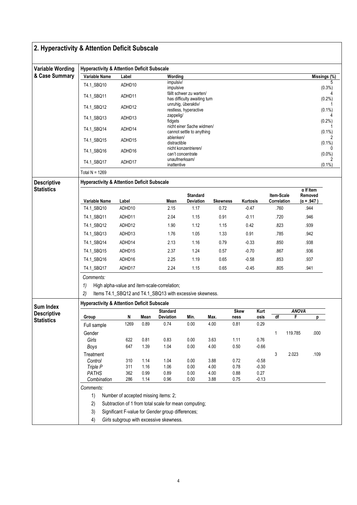| 2. Hyperactivity & Attention Deficit Subscale |                                                       |                                                       |              |                                                                                                          |                                                         |                 |                     |                    |                           |                   |                                                  |  |  |
|-----------------------------------------------|-------------------------------------------------------|-------------------------------------------------------|--------------|----------------------------------------------------------------------------------------------------------|---------------------------------------------------------|-----------------|---------------------|--------------------|---------------------------|-------------------|--------------------------------------------------|--|--|
| <b>Variable Wording</b>                       | <b>Hyperactivity &amp; Attention Deficit Subscale</b> |                                                       |              |                                                                                                          |                                                         |                 |                     |                    |                           |                   |                                                  |  |  |
| & Case Summary                                | Variable Name                                         | Label                                                 |              | Wording                                                                                                  |                                                         |                 |                     |                    |                           |                   | Missings (%)                                     |  |  |
|                                               | T4.1_SBQ10                                            | ADHD10                                                |              | impulsiv/<br>impulsive                                                                                   |                                                         |                 |                     |                    |                           |                   | $(0.3\%)$                                        |  |  |
|                                               | T4.1_SBQ11                                            | ADHD11                                                |              |                                                                                                          | fällt schwer zu warten/<br>has difficulty awaiting turn |                 |                     |                    |                           |                   | (0.2%                                            |  |  |
|                                               | T4.1_SBQ12                                            | ADHD12                                                |              |                                                                                                          | unruhig, überaktiv/<br>restless, hyperactive            |                 |                     |                    |                           |                   | $(0.1\%)$                                        |  |  |
|                                               | T4.1_SBQ13                                            | ADHD13                                                |              | zappelig/<br>fidgets                                                                                     |                                                         |                 |                     |                    |                           |                   | (0.2%)                                           |  |  |
|                                               | T4.1_SBQ14                                            | ADHD14                                                |              |                                                                                                          | nicht einer Sache widmen/<br>cannot settle to anything  |                 |                     |                    |                           |                   | $(0.1\%)$                                        |  |  |
|                                               | T4.1_SBQ15                                            | ADHD15                                                |              | ablenken/<br>distractible                                                                                |                                                         |                 |                     |                    |                           |                   | $(0.1\%)$                                        |  |  |
|                                               | T4.1_SBQ16                                            | ADHD16                                                |              |                                                                                                          | nicht konzentrieren/<br>can't concentrate               |                 |                     |                    |                           |                   | $(0.0\%)$                                        |  |  |
|                                               | T4.1 SBQ17                                            | ADHD17                                                |              | inattentive                                                                                              | unaufmerksam/                                           |                 |                     |                    |                           |                   | $(0.1\%)$                                        |  |  |
|                                               | Total N = $1269$                                      |                                                       |              |                                                                                                          |                                                         |                 |                     |                    |                           |                   |                                                  |  |  |
| <b>Descriptive</b>                            | <b>Hyperactivity &amp; Attention Deficit Subscale</b> |                                                       |              |                                                                                                          |                                                         |                 |                     |                    |                           |                   |                                                  |  |  |
| <b>Statistics</b>                             | Variable Name                                         | Label                                                 |              | Mean                                                                                                     | <b>Standard</b><br>Deviation                            | <b>Skewness</b> |                     | Kurtosis           | Item-Scale<br>Correlation |                   | $\alpha$ If Item<br>Removed<br>$(\alpha = .947)$ |  |  |
|                                               | T4.1_SBQ10                                            | ADHD10                                                |              | 2.15                                                                                                     | 1.17                                                    | 0.72            |                     | $-0.47$            | .760                      |                   | .944                                             |  |  |
|                                               | T4.1 SBQ11                                            | ADHD11                                                |              | 2.04                                                                                                     | 1.15                                                    | 0.91            |                     | $-0.11$            | .720                      |                   | .946                                             |  |  |
|                                               | T4.1_SBQ12                                            | ADHD12                                                |              | 1.90                                                                                                     | 1.12                                                    | 1.15            |                     | 0.42               | .823                      |                   | .939                                             |  |  |
|                                               | T4.1_SBQ13                                            | ADHD13                                                |              | 1.76                                                                                                     | 1.05                                                    | 1.33            |                     | 0.91               | .785                      |                   | .942                                             |  |  |
|                                               | T4.1_SBQ14                                            | ADHD14                                                |              | 2.13                                                                                                     | 1.16                                                    | 0.79            |                     | $-0.33$            | .850                      |                   | .938                                             |  |  |
|                                               | T4.1_SBQ15                                            | ADHD15                                                |              | 2.37                                                                                                     | 1.24                                                    | 0.57            |                     | $-0.70$            | .867                      |                   | .936                                             |  |  |
|                                               | T4.1_SBQ16                                            | ADHD16                                                |              | 2.25                                                                                                     | 1.19                                                    | 0.65            |                     | $-0.58$            | .853                      |                   | .937                                             |  |  |
|                                               | T4.1_SBQ17                                            | ADHD17                                                |              | 2.24                                                                                                     | 1.15                                                    | 0.65            |                     | $-0.45$            | .805                      |                   | .941                                             |  |  |
|                                               | Comments:<br>1)<br>2)                                 |                                                       |              | High alpha-value and item-scale-correlation;<br>Items T4.1_SBQ12 and T4.1_SBQ13 with excessive skewness. |                                                         |                 |                     |                    |                           |                   |                                                  |  |  |
| Sum Index                                     | <b>Hyperactivity &amp; Attention Deficit Subscale</b> |                                                       |              |                                                                                                          |                                                         |                 |                     |                    |                           |                   |                                                  |  |  |
| <b>Descriptive</b>                            | Group                                                 | N                                                     | Mean         | <b>Standard</b><br>Deviation                                                                             | Min.                                                    | Max.            | <b>Skew</b><br>ness | Kurt<br>osis       | df                        | <b>ANOVA</b><br>F | р                                                |  |  |
| <b>Statistics</b>                             | Full sample                                           | 1269                                                  | 0.89         | 0.74                                                                                                     | 0.00                                                    | 4.00            | 0.81                | 0.29               |                           |                   |                                                  |  |  |
|                                               | Gender                                                |                                                       |              |                                                                                                          |                                                         |                 |                     |                    | 1                         | 119.785           | .000                                             |  |  |
|                                               | Girls                                                 | 622                                                   | 0.81         | 0.83                                                                                                     | 0.00                                                    | 3.63            | 1.11                | 0.76               |                           |                   |                                                  |  |  |
|                                               | Boys                                                  | 647                                                   | 1.39         | 1.04                                                                                                     | 0.00                                                    | 4.00            | $0.50\,$            | $-0.66$            |                           |                   |                                                  |  |  |
|                                               | Treatment                                             |                                                       |              |                                                                                                          |                                                         |                 |                     |                    | 3                         | 2.023             | .109                                             |  |  |
|                                               | Control<br>Triple P                                   | 310<br>311                                            | 1.14<br>1.16 | 1.04<br>1.06                                                                                             | 0.00<br>0.00                                            | 3.88<br>4.00    | 0.72<br>0.78        | $-0.58$<br>$-0.30$ |                           |                   |                                                  |  |  |
|                                               | <b>PATHS</b>                                          | 362                                                   | 0.99         | 0.89                                                                                                     | 0.00                                                    | 4.00            | 0.88                | 0.27               |                           |                   |                                                  |  |  |
|                                               | Combination                                           | 286                                                   | 1.14         | 0.96                                                                                                     | 0.00                                                    | 3.88            | 0.75                | $-0.13$            |                           |                   |                                                  |  |  |
|                                               | Comments:                                             |                                                       |              |                                                                                                          |                                                         |                 |                     |                    |                           |                   |                                                  |  |  |
|                                               | 1)                                                    | Number of accepted missing items: 2;                  |              |                                                                                                          |                                                         |                 |                     |                    |                           |                   |                                                  |  |  |
|                                               | 2)                                                    | Subtraction of 1 from total scale for mean computing; |              |                                                                                                          |                                                         |                 |                     |                    |                           |                   |                                                  |  |  |
|                                               | 3)                                                    |                                                       |              | Significant F-value for Gender group differences;                                                        |                                                         |                 |                     |                    |                           |                   |                                                  |  |  |
|                                               | 4)                                                    |                                                       |              | Girls subgroup with excessive skewness.                                                                  |                                                         |                 |                     |                    |                           |                   |                                                  |  |  |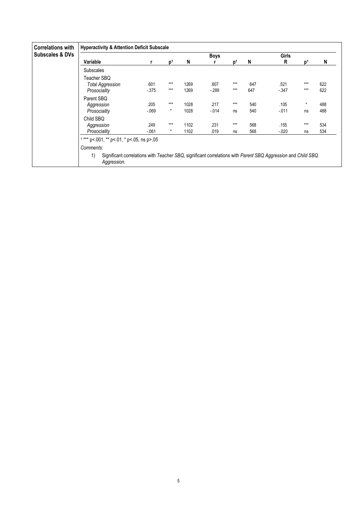| <b>Correlations with</b>   |                                                                                                                                   | <b>Hyperactivity &amp; Attention Deficit Subscale</b> |                |      |             |                |     |              |                |     |  |  |  |  |  |
|----------------------------|-----------------------------------------------------------------------------------------------------------------------------------|-------------------------------------------------------|----------------|------|-------------|----------------|-----|--------------|----------------|-----|--|--|--|--|--|
| <b>Subscales &amp; DVs</b> |                                                                                                                                   |                                                       |                |      | <b>Boys</b> |                |     | <b>Girls</b> |                |     |  |  |  |  |  |
|                            | Variable                                                                                                                          |                                                       | $\mathbf{D}^1$ | N    | r           | $\mathbf{D}^1$ | N   | R            | p <sup>1</sup> | N   |  |  |  |  |  |
|                            | <b>Subscales</b>                                                                                                                  |                                                       |                |      |             |                |     |              |                |     |  |  |  |  |  |
|                            | Teacher SBQ                                                                                                                       |                                                       |                |      |             |                |     |              |                |     |  |  |  |  |  |
|                            | <b>Total Aggression</b>                                                                                                           | .601                                                  | $***$          | 1269 | .607        | $***$          | 647 | .521         | $***$          | 622 |  |  |  |  |  |
|                            | Prosociality                                                                                                                      | $-375$                                                | $***$          | 1269 | $-289$      | $***$          | 647 | $-347$       | $***$          | 622 |  |  |  |  |  |
|                            | Parent SBQ                                                                                                                        |                                                       |                |      |             |                |     |              |                |     |  |  |  |  |  |
|                            | Aggression                                                                                                                        | .205                                                  | $***$          | 1028 | .217        | $***$          | 540 | .105         | $\star$        | 488 |  |  |  |  |  |
|                            | Prosociality                                                                                                                      | $-069$                                                | $\star$        | 1028 | $-0.014$    | ns             | 540 | $-011$       | ns             | 488 |  |  |  |  |  |
|                            | Child SBO                                                                                                                         |                                                       |                |      |             |                |     |              |                |     |  |  |  |  |  |
|                            | Aggression                                                                                                                        | .249                                                  | $***$          | 1102 | .231        | $***$          | 568 | .155         | $***$          | 534 |  |  |  |  |  |
|                            | Prosociality                                                                                                                      | $-.061$                                               | $^{\star}$     | 1102 | .019        | ns             | 568 | $-.020$      | ns             | 534 |  |  |  |  |  |
|                            | $1***$ p<.001, ** p<.01, * p<.05, ns p>.05                                                                                        |                                                       |                |      |             |                |     |              |                |     |  |  |  |  |  |
|                            | Comments:                                                                                                                         |                                                       |                |      |             |                |     |              |                |     |  |  |  |  |  |
|                            | Significant correlations with Teacher SBQ, significant correlations with Parent SBQ Aggression and Child SBQ<br>1)<br>Aggression. |                                                       |                |      |             |                |     |              |                |     |  |  |  |  |  |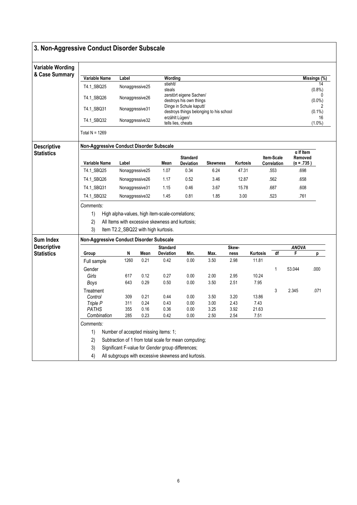| 3. Non-Aggressive Conduct Disorder Subscale |                                          |                                                       |              |                    |                                                                    |                 |                 |                   |                           |                                                             |                 |
|---------------------------------------------|------------------------------------------|-------------------------------------------------------|--------------|--------------------|--------------------------------------------------------------------|-----------------|-----------------|-------------------|---------------------------|-------------------------------------------------------------|-----------------|
| <b>Variable Wording</b>                     |                                          |                                                       |              |                    |                                                                    |                 |                 |                   |                           |                                                             |                 |
| & Case Summary                              | Variable Name                            | Label                                                 |              | Wording            |                                                                    |                 |                 |                   |                           |                                                             | Missings (%)    |
|                                             | T4.1_SBQ25                               | Nonaggressive25                                       |              | stiehlt/<br>steals |                                                                    |                 |                 |                   |                           |                                                             | 14<br>$(0.8\%)$ |
|                                             | T4.1_SBQ26                               | Nonaggressive26                                       |              |                    | zerstört eigene Sachen/<br>destroys his own things                 |                 |                 |                   |                           |                                                             | 0<br>$(0.0\%)$  |
|                                             | T4.1_SBQ31                               | Nonaggressive31                                       |              |                    | Dinge in Schule kaputt/<br>destroys things belonging to his school |                 |                 |                   |                           |                                                             | 2<br>$(0.1\%)$  |
|                                             | T4.1_SBQ32                               | Nonaggressive32                                       |              | erzählt Lügen/     | tells lies, cheats                                                 |                 |                 |                   |                           |                                                             | 16<br>$(1.0\%)$ |
|                                             | Total $N = 1269$                         |                                                       |              |                    |                                                                    |                 |                 |                   |                           |                                                             |                 |
| <b>Descriptive</b>                          | Non-Aggressive Conduct Disorder Subscale |                                                       |              |                    |                                                                    |                 |                 |                   |                           |                                                             |                 |
| <b>Statistics</b>                           | Variable Name                            | Label                                                 |              | Mean               | <b>Standard</b><br>Deviation                                       | <b>Skewness</b> | <b>Kurtosis</b> |                   | Item-Scale<br>Correlation | $\overline{\alpha}$ If Item<br>Removed<br>$(\alpha = .735)$ |                 |
|                                             | T4.1_SBQ25                               | Nonaggressive25                                       |              | 1.07               | 0.34                                                               | 6.24            | 47.31           |                   | .553                      | .698                                                        |                 |
|                                             | T4.1_SBQ26                               | Nonaggressive26                                       |              | 1.17               | 0.52                                                               | 3.46            | 12.87           |                   | .562                      | .658                                                        |                 |
|                                             | T4.1_SBQ31                               | Nonaggressive31                                       |              | 1.15               | 0.46                                                               | 3.67            | 15.78           |                   | .687                      | .608                                                        |                 |
|                                             | T4.1_SBQ32                               | Nonaggressive32                                       |              | 1.45               | 0.81                                                               | 1.85            | 3.00            |                   | .523                      | .761                                                        |                 |
|                                             | Comments:                                |                                                       |              |                    |                                                                    |                 |                 |                   |                           |                                                             |                 |
|                                             | 1)                                       | High alpha-values, high item-scale-correlations;      |              |                    |                                                                    |                 |                 |                   |                           |                                                             |                 |
|                                             | 2)                                       | All Items with excessive skewness and kurtosis;       |              |                    |                                                                    |                 |                 |                   |                           |                                                             |                 |
|                                             | 3)                                       | Item T2.2_SBQ22 with high kurtosis.                   |              |                    |                                                                    |                 |                 |                   |                           |                                                             |                 |
| <b>Sum Index</b>                            | Non-Aggressive Conduct Disorder Subscale |                                                       |              |                    |                                                                    |                 |                 |                   |                           |                                                             |                 |
| <b>Descriptive</b>                          |                                          |                                                       |              | <b>Standard</b>    |                                                                    |                 | Skew-           |                   |                           | <b>ANOVA</b>                                                |                 |
| <b>Statistics</b>                           | Group                                    | N<br>1260                                             | Mean<br>0.21 | Deviation<br>0.42  | Min.<br>0.00                                                       | Max.<br>3.50    | ness<br>2.98    | Kurtosis<br>11.81 | df                        | F                                                           | р               |
|                                             | Full sample                              |                                                       |              |                    |                                                                    |                 |                 |                   |                           |                                                             |                 |
|                                             | Gender<br>Girls                          | 617                                                   | 0.12         | 0.27               | 0.00                                                               | 2.00            | 2.95            | 10.24             | 1                         | 53.044                                                      | .000            |
|                                             | Boys                                     | 643                                                   | 0.29         | 0.50               | 0.00                                                               | 3.50            | 2.51            | 7.95              |                           |                                                             |                 |
|                                             | Treatment                                |                                                       |              |                    |                                                                    |                 |                 |                   | 3                         | 2.345                                                       | .071            |
|                                             | Control                                  | 309                                                   | 0.21         | 0.44               | 0.00                                                               | 3.50            | 3.20            | 13.86             |                           |                                                             |                 |
|                                             | Triple P<br>PATHS                        | 311<br>355                                            | 0.24<br>0.16 | 0.43<br>$0.36\,$   | 0.00<br>0.00                                                       | 3.00<br>3.25    | 2.43<br>3.92    | 7.43<br>21.63     |                           |                                                             |                 |
|                                             | Combination                              | 285                                                   | 0.23         | 0.42               | 0.00                                                               | 2.50            | 2.54            | 7.51              |                           |                                                             |                 |
|                                             | Comments:                                |                                                       |              |                    |                                                                    |                 |                 |                   |                           |                                                             |                 |
|                                             | 1)                                       | Number of accepted missing items: 1;                  |              |                    |                                                                    |                 |                 |                   |                           |                                                             |                 |
|                                             | 2)                                       | Subtraction of 1 from total scale for mean computing; |              |                    |                                                                    |                 |                 |                   |                           |                                                             |                 |
|                                             | 3)                                       | Significant F-value for Gender group differences;     |              |                    |                                                                    |                 |                 |                   |                           |                                                             |                 |
|                                             | 4)                                       | All subgroups with excessive skewness and kurtosis.   |              |                    |                                                                    |                 |                 |                   |                           |                                                             |                 |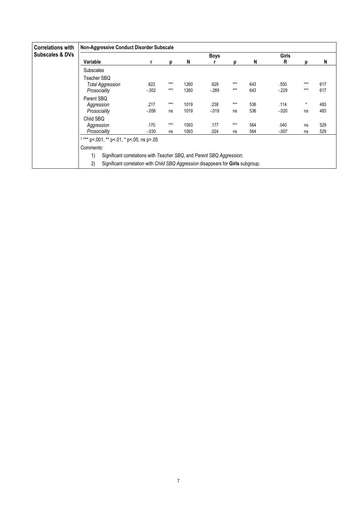| <b>Correlations with</b>   | <b>Non-Aggressive Conduct Disorder Subscale</b>                                        |          |       |      |             |       |     |          |         |     |  |  |  |
|----------------------------|----------------------------------------------------------------------------------------|----------|-------|------|-------------|-------|-----|----------|---------|-----|--|--|--|
| <b>Subscales &amp; DVs</b> |                                                                                        |          |       |      | <b>Boys</b> |       |     | Girls    |         |     |  |  |  |
|                            | Variable                                                                               |          | р     | N    |             | n     | N   | R        | D       | N   |  |  |  |
|                            | <b>Subscales</b>                                                                       |          |       |      |             |       |     |          |         |     |  |  |  |
|                            | Teacher SBQ                                                                            |          |       |      |             |       |     |          |         |     |  |  |  |
|                            | <b>Total Aggression</b>                                                                | .622     | $***$ | 1260 | .629        | $***$ | 643 | .550     | $***$   | 617 |  |  |  |
|                            | Prosociality                                                                           | $-0.302$ | $***$ | 1260 | $-289$      | ***   | 643 | $-229$   | $***$   | 617 |  |  |  |
|                            | Parent SBQ                                                                             |          |       |      |             |       |     |          |         |     |  |  |  |
|                            | Aggression                                                                             | .217     | $***$ | 1019 | .238        | $***$ | 536 | .114     | $\star$ | 483 |  |  |  |
|                            | Prosociality                                                                           | $-0.056$ | ns    | 1019 | $-0.19$     | ns    | 536 | $-0.020$ | ns      | 483 |  |  |  |
|                            | Child SBO                                                                              |          |       |      |             |       |     |          |         |     |  |  |  |
|                            | Aggression                                                                             | .170     | $***$ | 1093 | .177        | $***$ | 564 | .040     | ns      | 529 |  |  |  |
|                            | Prosociality                                                                           | $-0.030$ | ns    | 1093 | .024        | ns    | 564 | $-007$   | ns      | 529 |  |  |  |
|                            | $1***$ p<.001, $**$ p<.01, $*$ p<.05, ns p>.05                                         |          |       |      |             |       |     |          |         |     |  |  |  |
|                            | Comments:                                                                              |          |       |      |             |       |     |          |         |     |  |  |  |
|                            | Significant correlations with Teacher SBQ, and Parent SBQ Aggression;<br>1)            |          |       |      |             |       |     |          |         |     |  |  |  |
|                            | Significant correlation with Child SBQ Aggression disappears for Girls subgroup.<br>2) |          |       |      |             |       |     |          |         |     |  |  |  |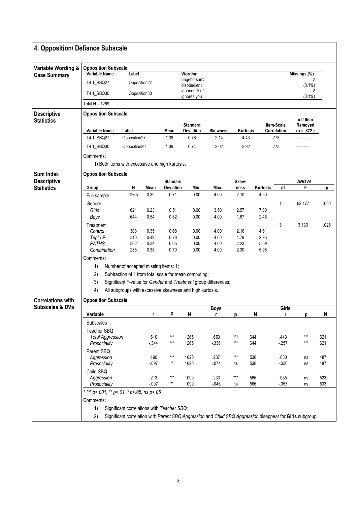| Variable Name<br>T4.1 SBQ27<br>T4.1_SBQ30<br>Total $N = 1269$<br><b>Opposition Subscale</b> | Label<br>Opposition27<br>Opposition30                                                                                                                                                                              |                                                                                                                   |                                                                             | Wording                                                                                                                                      | <b>Opposition Subscale</b>                                                                                                                                                                          |                                                                                                 |                                                           |                                                                                 |                                                                                                                                                                               |                                                       |  |  |  |  |  |  |  |  |  |
|---------------------------------------------------------------------------------------------|--------------------------------------------------------------------------------------------------------------------------------------------------------------------------------------------------------------------|-------------------------------------------------------------------------------------------------------------------|-----------------------------------------------------------------------------|----------------------------------------------------------------------------------------------------------------------------------------------|-----------------------------------------------------------------------------------------------------------------------------------------------------------------------------------------------------|-------------------------------------------------------------------------------------------------|-----------------------------------------------------------|---------------------------------------------------------------------------------|-------------------------------------------------------------------------------------------------------------------------------------------------------------------------------|-------------------------------------------------------|--|--|--|--|--|--|--|--|--|
|                                                                                             |                                                                                                                                                                                                                    |                                                                                                                   |                                                                             |                                                                                                                                              |                                                                                                                                                                                                     | Missings (%)                                                                                    |                                                           |                                                                                 |                                                                                                                                                                               |                                                       |  |  |  |  |  |  |  |  |  |
|                                                                                             |                                                                                                                                                                                                                    |                                                                                                                   |                                                                             | ungehorsam/                                                                                                                                  |                                                                                                                                                                                                     |                                                                                                 |                                                           |                                                                                 |                                                                                                                                                                               |                                                       |  |  |  |  |  |  |  |  |  |
|                                                                                             |                                                                                                                                                                                                                    |                                                                                                                   |                                                                             | disobedient<br>ignoriert Sie/                                                                                                                |                                                                                                                                                                                                     |                                                                                                 |                                                           |                                                                                 | $(0.1\%)$                                                                                                                                                                     |                                                       |  |  |  |  |  |  |  |  |  |
|                                                                                             |                                                                                                                                                                                                                    |                                                                                                                   |                                                                             | ignores you                                                                                                                                  |                                                                                                                                                                                                     |                                                                                                 |                                                           |                                                                                 | $(0.1\%)$                                                                                                                                                                     |                                                       |  |  |  |  |  |  |  |  |  |
|                                                                                             |                                                                                                                                                                                                                    |                                                                                                                   |                                                                             |                                                                                                                                              |                                                                                                                                                                                                     |                                                                                                 |                                                           |                                                                                 |                                                                                                                                                                               |                                                       |  |  |  |  |  |  |  |  |  |
|                                                                                             |                                                                                                                                                                                                                    |                                                                                                                   |                                                                             |                                                                                                                                              |                                                                                                                                                                                                     |                                                                                                 |                                                           |                                                                                 | $\alpha$ If Item                                                                                                                                                              |                                                       |  |  |  |  |  |  |  |  |  |
|                                                                                             |                                                                                                                                                                                                                    |                                                                                                                   |                                                                             | <b>Standard</b>                                                                                                                              |                                                                                                                                                                                                     |                                                                                                 |                                                           | <b>Item-Scale</b>                                                               | Removed                                                                                                                                                                       |                                                       |  |  |  |  |  |  |  |  |  |
|                                                                                             |                                                                                                                                                                                                                    |                                                                                                                   |                                                                             |                                                                                                                                              |                                                                                                                                                                                                     |                                                                                                 |                                                           |                                                                                 |                                                                                                                                                                               |                                                       |  |  |  |  |  |  |  |  |  |
|                                                                                             |                                                                                                                                                                                                                    |                                                                                                                   |                                                                             |                                                                                                                                              |                                                                                                                                                                                                     |                                                                                                 |                                                           |                                                                                 |                                                                                                                                                                               |                                                       |  |  |  |  |  |  |  |  |  |
|                                                                                             |                                                                                                                                                                                                                    |                                                                                                                   |                                                                             |                                                                                                                                              |                                                                                                                                                                                                     |                                                                                                 |                                                           |                                                                                 |                                                                                                                                                                               |                                                       |  |  |  |  |  |  |  |  |  |
|                                                                                             |                                                                                                                                                                                                                    |                                                                                                                   |                                                                             |                                                                                                                                              |                                                                                                                                                                                                     |                                                                                                 |                                                           |                                                                                 |                                                                                                                                                                               |                                                       |  |  |  |  |  |  |  |  |  |
|                                                                                             |                                                                                                                                                                                                                    |                                                                                                                   |                                                                             |                                                                                                                                              |                                                                                                                                                                                                     |                                                                                                 |                                                           |                                                                                 |                                                                                                                                                                               |                                                       |  |  |  |  |  |  |  |  |  |
|                                                                                             |                                                                                                                                                                                                                    |                                                                                                                   |                                                                             |                                                                                                                                              |                                                                                                                                                                                                     |                                                                                                 |                                                           |                                                                                 |                                                                                                                                                                               |                                                       |  |  |  |  |  |  |  |  |  |
| Group                                                                                       | N                                                                                                                                                                                                                  | Mean                                                                                                              |                                                                             | Min.                                                                                                                                         | Max.                                                                                                                                                                                                | ness                                                                                            | Kurtosis                                                  | df                                                                              | F                                                                                                                                                                             | p                                                     |  |  |  |  |  |  |  |  |  |
| Full sample                                                                                 | 1265                                                                                                                                                                                                               | 0.39                                                                                                              | 0.71                                                                        | 0.00                                                                                                                                         | 4.00                                                                                                                                                                                                | 2.10                                                                                            | 4.50                                                      |                                                                                 |                                                                                                                                                                               |                                                       |  |  |  |  |  |  |  |  |  |
| Gender                                                                                      |                                                                                                                                                                                                                    |                                                                                                                   |                                                                             |                                                                                                                                              |                                                                                                                                                                                                     |                                                                                                 |                                                           | 1                                                                               | 62.177                                                                                                                                                                        | .000                                                  |  |  |  |  |  |  |  |  |  |
| Girls                                                                                       | 621                                                                                                                                                                                                                | 0.23                                                                                                              | 0.51                                                                        | 0.00                                                                                                                                         | 3.50                                                                                                                                                                                                | 2.57                                                                                            | 7.00                                                      |                                                                                 |                                                                                                                                                                               |                                                       |  |  |  |  |  |  |  |  |  |
|                                                                                             |                                                                                                                                                                                                                    |                                                                                                                   |                                                                             |                                                                                                                                              |                                                                                                                                                                                                     |                                                                                                 |                                                           |                                                                                 |                                                                                                                                                                               |                                                       |  |  |  |  |  |  |  |  |  |
|                                                                                             |                                                                                                                                                                                                                    |                                                                                                                   |                                                                             |                                                                                                                                              |                                                                                                                                                                                                     |                                                                                                 |                                                           |                                                                                 |                                                                                                                                                                               | .025                                                  |  |  |  |  |  |  |  |  |  |
| Triple P                                                                                    | 310                                                                                                                                                                                                                | 0.49                                                                                                              | 0.78                                                                        | 0.00                                                                                                                                         | 4.00                                                                                                                                                                                                | 1.79                                                                                            | 2.96                                                      |                                                                                 |                                                                                                                                                                               |                                                       |  |  |  |  |  |  |  |  |  |
| <b>PATHS</b>                                                                                | 362                                                                                                                                                                                                                | 0.34                                                                                                              | 0.65                                                                        | 0.00                                                                                                                                         | 4.00                                                                                                                                                                                                | 2.23                                                                                            | 5.09                                                      |                                                                                 |                                                                                                                                                                               |                                                       |  |  |  |  |  |  |  |  |  |
|                                                                                             |                                                                                                                                                                                                                    |                                                                                                                   |                                                                             |                                                                                                                                              |                                                                                                                                                                                                     |                                                                                                 |                                                           |                                                                                 |                                                                                                                                                                               |                                                       |  |  |  |  |  |  |  |  |  |
|                                                                                             |                                                                                                                                                                                                                    |                                                                                                                   |                                                                             |                                                                                                                                              |                                                                                                                                                                                                     |                                                                                                 |                                                           |                                                                                 |                                                                                                                                                                               |                                                       |  |  |  |  |  |  |  |  |  |
| Number of accepted missing items: 1;<br>1)                                                  |                                                                                                                                                                                                                    |                                                                                                                   |                                                                             |                                                                                                                                              |                                                                                                                                                                                                     |                                                                                                 |                                                           |                                                                                 |                                                                                                                                                                               |                                                       |  |  |  |  |  |  |  |  |  |
| 2)<br>Subtraction of 1 from total scale for mean computing;                                 |                                                                                                                                                                                                                    |                                                                                                                   |                                                                             |                                                                                                                                              |                                                                                                                                                                                                     |                                                                                                 |                                                           |                                                                                 |                                                                                                                                                                               |                                                       |  |  |  |  |  |  |  |  |  |
| 3)<br>Significant F-value for Gender and Treatment group differences;                       |                                                                                                                                                                                                                    |                                                                                                                   |                                                                             |                                                                                                                                              |                                                                                                                                                                                                     |                                                                                                 |                                                           |                                                                                 |                                                                                                                                                                               |                                                       |  |  |  |  |  |  |  |  |  |
| 4)<br>All subgroups with excessive skewness and high kurtosis.                              |                                                                                                                                                                                                                    |                                                                                                                   |                                                                             |                                                                                                                                              |                                                                                                                                                                                                     |                                                                                                 |                                                           |                                                                                 |                                                                                                                                                                               |                                                       |  |  |  |  |  |  |  |  |  |
|                                                                                             |                                                                                                                                                                                                                    |                                                                                                                   |                                                                             |                                                                                                                                              |                                                                                                                                                                                                     |                                                                                                 |                                                           |                                                                                 |                                                                                                                                                                               |                                                       |  |  |  |  |  |  |  |  |  |
|                                                                                             |                                                                                                                                                                                                                    |                                                                                                                   |                                                                             |                                                                                                                                              |                                                                                                                                                                                                     |                                                                                                 |                                                           |                                                                                 |                                                                                                                                                                               | N                                                     |  |  |  |  |  |  |  |  |  |
|                                                                                             |                                                                                                                                                                                                                    |                                                                                                                   |                                                                             |                                                                                                                                              |                                                                                                                                                                                                     |                                                                                                 |                                                           |                                                                                 |                                                                                                                                                                               |                                                       |  |  |  |  |  |  |  |  |  |
|                                                                                             |                                                                                                                                                                                                                    |                                                                                                                   |                                                                             |                                                                                                                                              |                                                                                                                                                                                                     |                                                                                                 |                                                           |                                                                                 |                                                                                                                                                                               |                                                       |  |  |  |  |  |  |  |  |  |
|                                                                                             |                                                                                                                                                                                                                    | .610                                                                                                              | ***                                                                         | 1265                                                                                                                                         | .653                                                                                                                                                                                                | $***$                                                                                           |                                                           | .443                                                                            | ***                                                                                                                                                                           | 621                                                   |  |  |  |  |  |  |  |  |  |
| Prosociality                                                                                |                                                                                                                                                                                                                    | $-344$                                                                                                            | $***$                                                                       |                                                                                                                                              | $-336$                                                                                                                                                                                              | ***                                                                                             |                                                           | $-257$                                                                          | $***$                                                                                                                                                                         | 621                                                   |  |  |  |  |  |  |  |  |  |
|                                                                                             |                                                                                                                                                                                                                    |                                                                                                                   |                                                                             |                                                                                                                                              |                                                                                                                                                                                                     |                                                                                                 |                                                           |                                                                                 |                                                                                                                                                                               | 487                                                   |  |  |  |  |  |  |  |  |  |
|                                                                                             |                                                                                                                                                                                                                    | $-0.97$                                                                                                           | $^{\star\star}$                                                             | 1025                                                                                                                                         | $-074$                                                                                                                                                                                              | ns                                                                                              |                                                           | $-0.30$                                                                         | ns                                                                                                                                                                            | 487                                                   |  |  |  |  |  |  |  |  |  |
| Child SBQ                                                                                   |                                                                                                                                                                                                                    |                                                                                                                   |                                                                             |                                                                                                                                              |                                                                                                                                                                                                     |                                                                                                 |                                                           |                                                                                 |                                                                                                                                                                               |                                                       |  |  |  |  |  |  |  |  |  |
| Aggression                                                                                  |                                                                                                                                                                                                                    | .213                                                                                                              | ***                                                                         | 1099                                                                                                                                         | .233                                                                                                                                                                                                | $***$                                                                                           |                                                           | .055                                                                            | ns                                                                                                                                                                            | 533                                                   |  |  |  |  |  |  |  |  |  |
| Prosociality                                                                                |                                                                                                                                                                                                                    |                                                                                                                   |                                                                             |                                                                                                                                              |                                                                                                                                                                                                     | ns                                                                                              |                                                           |                                                                                 | ns                                                                                                                                                                            | 533                                                   |  |  |  |  |  |  |  |  |  |
|                                                                                             |                                                                                                                                                                                                                    |                                                                                                                   |                                                                             |                                                                                                                                              |                                                                                                                                                                                                     |                                                                                                 |                                                           |                                                                                 |                                                                                                                                                                               |                                                       |  |  |  |  |  |  |  |  |  |
| Comments:                                                                                   |                                                                                                                                                                                                                    |                                                                                                                   |                                                                             |                                                                                                                                              |                                                                                                                                                                                                     |                                                                                                 |                                                           |                                                                                 |                                                                                                                                                                               |                                                       |  |  |  |  |  |  |  |  |  |
|                                                                                             |                                                                                                                                                                                                                    |                                                                                                                   |                                                                             |                                                                                                                                              |                                                                                                                                                                                                     |                                                                                                 |                                                           |                                                                                 |                                                                                                                                                                               |                                                       |  |  |  |  |  |  |  |  |  |
|                                                                                             | Variable Name<br>T4.1_SBQ27<br>T4.1_SBQ30<br>Comments:<br>Boys<br>Treatment<br>Control<br>Combination<br>Comments:<br>Variable<br>Subscales<br>Teacher SBQ<br>Parent SBQ<br>Aggression<br>Prosociality<br>1)<br>2) | Label<br><b>Opposition Subscale</b><br>644<br>308<br>285<br><b>Opposition Subscale</b><br><b>Total Aggression</b> | Opposition27<br>Opposition30<br>0.54<br>0.35<br>0.38<br>r<br>.190<br>$-097$ | Mean<br>1.38<br>1.39<br><b>Standard</b><br>0.82<br>0.68<br>0.70<br>P<br>***<br>$^{\star\star}$<br>$1***$ p<.001, ** p<.01, * p<.05, ns p>.05 | Deviation<br>0.76<br>0.74<br>1) Both items with excessive and high kurtosis.<br><b>Deviation</b><br>0.00<br>0.00<br>0.00<br>N<br>1265<br>1025<br>1099<br>Significant correlations with Teacher SBQ; | <b>Skewness</b><br>2.14<br>2.02<br>4.00<br>4.00<br>4.00<br><b>Boys</b><br>r<br>.237<br>$-0.046$ | 4.43<br>3.92<br>Skew-<br>1.67<br>2.16<br>2.30<br>p<br>*** | Kurtosis<br>2.46<br>4.61<br>5.98<br>N<br>644<br>644<br>538<br>538<br>566<br>566 | Correlation<br>.773<br>.773<br>3<br>Girls<br>r<br>.030<br>$-057$<br>Significant correlation with Parent SBQ Aggression and Child SBQ Aggression disappear for Girls subgroup. | $(\alpha = .872)$<br><b>ANOVA</b><br>3.133<br>p<br>ns |  |  |  |  |  |  |  |  |  |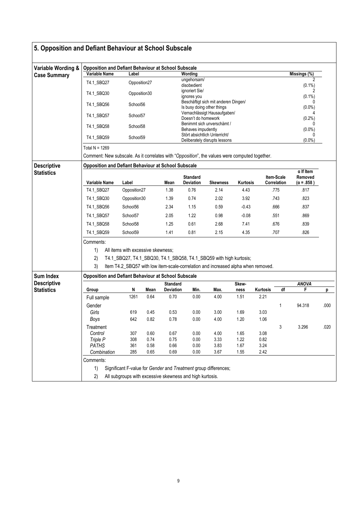|                                         | 5. Opposition and Defiant Behaviour at School Subscale                                                                                                      |                                                          |              |                 |                               |                                                                                                                                                         |                 |              |                           |                              |      |  |  |  |
|-----------------------------------------|-------------------------------------------------------------------------------------------------------------------------------------------------------------|----------------------------------------------------------|--------------|-----------------|-------------------------------|---------------------------------------------------------------------------------------------------------------------------------------------------------|-----------------|--------------|---------------------------|------------------------------|------|--|--|--|
| Variable Wording &                      | <b>Opposition and Defiant Behaviour at School Subscale</b>                                                                                                  |                                                          |              |                 |                               |                                                                                                                                                         |                 |              |                           |                              |      |  |  |  |
| <b>Case Summary</b>                     | Variable Name                                                                                                                                               | Label                                                    |              |                 | Wording                       |                                                                                                                                                         |                 |              |                           | Missings (%)                 |      |  |  |  |
|                                         | T4.1 SBQ27                                                                                                                                                  | Opposition27                                             |              |                 | ungehorsam/<br>disobedient    |                                                                                                                                                         |                 |              |                           | 2<br>$(0.1\%)$               |      |  |  |  |
|                                         | T4.1_SBQ30                                                                                                                                                  | Opposition30                                             |              |                 | ignoriert Sie/<br>ignores you |                                                                                                                                                         |                 |              |                           | $(0.1\%)$                    |      |  |  |  |
|                                         | T4.1_SBQ56                                                                                                                                                  | School56                                                 |              |                 | Is busy doing other things    | Beschäftigt sich mit anderen Dingen/                                                                                                                    |                 |              |                           | $\Omega$<br>$(0.0\%)$        |      |  |  |  |
|                                         | T4.1_SBQ57                                                                                                                                                  | School57                                                 |              |                 | Doesn't do homework           | Vernachlässigt Hausaufgaben/                                                                                                                            |                 |              |                           | $(0.2\%)$                    |      |  |  |  |
|                                         | T4.1_SBQ58                                                                                                                                                  | School58                                                 |              |                 | Behaves impudently            | Benimmt sich unverschämt /                                                                                                                              |                 |              |                           | 0<br>$(0.0\%)$               |      |  |  |  |
|                                         | T4.1_SBQ59                                                                                                                                                  | School59                                                 |              |                 |                               | Stört absichtlich Unterricht/<br>Deliberately disrupts lessons                                                                                          |                 |              |                           | 0<br>$(0.0\%)$               |      |  |  |  |
|                                         | Total N = 1269                                                                                                                                              |                                                          |              |                 |                               |                                                                                                                                                         |                 |              |                           |                              |      |  |  |  |
|                                         | Comment: New subscale. As it correlates with "Opposition", the values were computed together.<br><b>Opposition and Defiant Behaviour at School Subscale</b> |                                                          |              |                 |                               |                                                                                                                                                         |                 |              |                           |                              |      |  |  |  |
| <b>Descriptive</b><br><b>Statistics</b> |                                                                                                                                                             |                                                          |              |                 |                               |                                                                                                                                                         |                 |              |                           | $\alpha$ If Item             |      |  |  |  |
|                                         | Variable Name                                                                                                                                               | Label                                                    |              | Mean            | <b>Standard</b><br>Deviation  | <b>Skewness</b>                                                                                                                                         | <b>Kurtosis</b> |              | Item-Scale<br>Correlation | Removed<br>$(\alpha = .858)$ |      |  |  |  |
|                                         | T4.1 SBQ27                                                                                                                                                  | Opposition27                                             |              | 1.38            | 0.76                          | 2.14                                                                                                                                                    | 4.43            |              | .775                      | .817                         |      |  |  |  |
|                                         | T4.1_SBQ30                                                                                                                                                  | Opposition30                                             |              | 1.39            | 0.74                          | 2.02                                                                                                                                                    | 3.92            |              | .743                      | .823                         |      |  |  |  |
|                                         | T4.1_SBQ56                                                                                                                                                  | School56                                                 |              | 2.34            | 1.15                          | 0.59                                                                                                                                                    | $-0.43$         |              | .666                      | .837                         |      |  |  |  |
|                                         | T4.1_SBQ57                                                                                                                                                  | School57                                                 |              | 2.05            | 1.22                          | 0.98                                                                                                                                                    | $-0.08$         |              | .551                      | .869                         |      |  |  |  |
|                                         | T4.1_SBQ58                                                                                                                                                  | School58                                                 |              | 1.25            | 0.61                          | 2.68                                                                                                                                                    | 7.41            |              | .676                      | .839                         |      |  |  |  |
|                                         | T4.1_SBQ59                                                                                                                                                  | School59                                                 |              | 1.41            | 0.81                          | 2.15                                                                                                                                                    | 4.35            |              | .707                      | .826                         |      |  |  |  |
| Sum Index                               | Comments:<br>1)<br>2)<br>3)<br><b>Opposition and Defiant Behaviour at School Subscale</b>                                                                   | All items with excessive skewness;                       |              |                 |                               | T4.1_SBQ27, T4.1_SBQ30, T4.1_SBQ58, T4.1_SBQ59 with high kurtosis;<br>Item T4.2_SBQ57 with low item-scale-correlation and increased alpha when removed. |                 |              |                           |                              |      |  |  |  |
| <b>Descriptive</b>                      |                                                                                                                                                             |                                                          |              | <b>Standard</b> |                               |                                                                                                                                                         | Skew-           |              |                           | <b>ANOVA</b>                 |      |  |  |  |
| <b>Statistics</b>                       | Group                                                                                                                                                       | N                                                        | Mean         | Deviation       | Min.                          | Max.                                                                                                                                                    | ness            | Kurtosis     | df                        | F                            | р    |  |  |  |
|                                         | Full sample                                                                                                                                                 | 1261                                                     | 0.64         | 0.70            | 0.00                          | 4.00                                                                                                                                                    | 1.51            | 2.21         |                           |                              |      |  |  |  |
|                                         | Gender                                                                                                                                                      |                                                          |              |                 |                               |                                                                                                                                                         |                 |              | 1                         | 94.318                       | .000 |  |  |  |
|                                         | Girls                                                                                                                                                       | 619                                                      | 0.45         | 0.53            | 0.00                          | 3.00                                                                                                                                                    | 1.69            | 3.03         |                           |                              |      |  |  |  |
|                                         | <b>Boys</b>                                                                                                                                                 | 642                                                      | 0.82         | 0.78            | 0.00                          | 4.00                                                                                                                                                    | 1.20            | 1.06         |                           |                              |      |  |  |  |
|                                         | Treatment                                                                                                                                                   |                                                          |              |                 |                               |                                                                                                                                                         |                 |              | 3                         | 3.296                        | .020 |  |  |  |
|                                         | Control<br>Triple P                                                                                                                                         | 307<br>308                                               | 0.60<br>0.74 | 0.67<br>0.75    | 0.00<br>0.00                  | 4.00<br>3.33                                                                                                                                            | 1.65<br>1.22    | 3.08<br>0.82 |                           |                              |      |  |  |  |
|                                         | <b>PATHS</b>                                                                                                                                                | 361                                                      | 0.58         | 0.66            | 0.00                          | 3.83                                                                                                                                                    | 1.67            | 3.24         |                           |                              |      |  |  |  |
|                                         | Combination                                                                                                                                                 | 285                                                      | 0.65         | 0.69            | 0.00                          | 3.67                                                                                                                                                    | 1.55            | 2.42         |                           |                              |      |  |  |  |
|                                         | Comments:                                                                                                                                                   |                                                          |              |                 |                               |                                                                                                                                                         |                 |              |                           |                              |      |  |  |  |
|                                         | 1)                                                                                                                                                          |                                                          |              |                 |                               | Significant F-value for Gender and Treatment group differences;                                                                                         |                 |              |                           |                              |      |  |  |  |
|                                         | 2)                                                                                                                                                          | All subgroups with excessive skewness and high kurtosis. |              |                 |                               |                                                                                                                                                         |                 |              |                           |                              |      |  |  |  |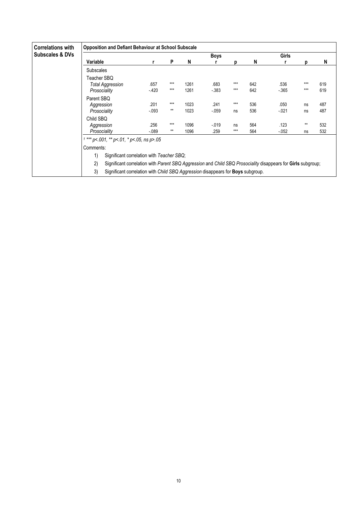| <b>Correlations with</b>   | <b>Opposition and Defiant Behaviour at School Subscale</b>                                                         |          |       |      |         |       |     |          |       |     |  |  |  |
|----------------------------|--------------------------------------------------------------------------------------------------------------------|----------|-------|------|---------|-------|-----|----------|-------|-----|--|--|--|
| <b>Subscales &amp; DVs</b> |                                                                                                                    |          |       |      | Boys    |       |     | Girls    |       |     |  |  |  |
|                            | Variable                                                                                                           |          | P     | N    |         | D     | N   |          | n     | N   |  |  |  |
|                            | <b>Subscales</b>                                                                                                   |          |       |      |         |       |     |          |       |     |  |  |  |
|                            | Teacher SBQ                                                                                                        |          |       |      |         |       |     |          |       |     |  |  |  |
|                            | <b>Total Aggression</b>                                                                                            | .657     | $***$ | 1261 | .683    | $***$ | 642 | .536     | $***$ | 619 |  |  |  |
|                            | Prosociality                                                                                                       | $-420$   | $***$ | 1261 | $-383$  | $***$ | 642 | $-365$   | $***$ | 619 |  |  |  |
|                            | Parent SBQ                                                                                                         |          |       |      |         |       |     |          |       |     |  |  |  |
|                            | Aggression                                                                                                         | .201     | $***$ | 1023 | .241    | $***$ | 536 | .050     | ns    | 487 |  |  |  |
|                            | Prosociality                                                                                                       | $-0.093$ | $***$ | 1023 | $-059$  | ns    | 536 | $-021$   | ns    | 487 |  |  |  |
|                            | Child SBO                                                                                                          |          |       |      |         |       |     |          |       |     |  |  |  |
|                            | Aggression                                                                                                         | .256     | $***$ | 1096 | $-0.19$ | ns    | 564 | .123     | $**$  | 532 |  |  |  |
|                            | Prosociality                                                                                                       | $-089$   | $***$ | 1096 | .259    | $***$ | 564 | $-0.052$ | ns    | 532 |  |  |  |
|                            | *** $p$ < 001, ** $p$ < 01, * $p$ < 05, ns $p$ > 05                                                                |          |       |      |         |       |     |          |       |     |  |  |  |
|                            | Comments:                                                                                                          |          |       |      |         |       |     |          |       |     |  |  |  |
|                            | 1)<br>Significant correlation with Teacher SBQ;                                                                    |          |       |      |         |       |     |          |       |     |  |  |  |
|                            | 2)<br>Significant correlation with Parent SBQ Aggression and Child SBQ Prosociality disappears for Girls subgroup; |          |       |      |         |       |     |          |       |     |  |  |  |

3) Significant correlation with Child SBQ Aggression disappears for **Boys** subgroup.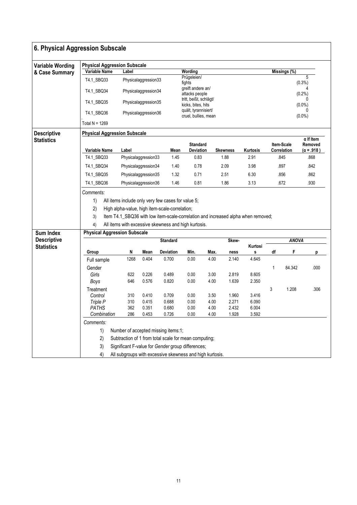| 6. Physical Aggression Subscale |                                                                                         |                      |                      |                                                       |                                            |              |                 |                |              |                           |                                                  |  |  |  |
|---------------------------------|-----------------------------------------------------------------------------------------|----------------------|----------------------|-------------------------------------------------------|--------------------------------------------|--------------|-----------------|----------------|--------------|---------------------------|--------------------------------------------------|--|--|--|
| <b>Variable Wording</b>         | <b>Physical Aggression Subscale</b>                                                     |                      |                      |                                                       |                                            |              |                 |                |              |                           |                                                  |  |  |  |
| & Case Summary                  | Variable Name<br>T4.1_SBQ33                                                             | Label                | Physicalaggression33 |                                                       | Wording<br>Prügeleien/                     |              |                 |                |              | Missings (%)              | 5                                                |  |  |  |
|                                 | T4.1_SBQ34                                                                              |                      | Physicalaggression34 |                                                       | fights<br>greift andere an/                |              |                 |                |              |                           | $(0.3\%)$                                        |  |  |  |
|                                 | T4.1_SBQ35                                                                              |                      | Physicalaggression35 |                                                       | attacks people<br>tritt, beißt, schlägt/   |              |                 |                |              |                           | (0.2%                                            |  |  |  |
|                                 | T4.1_SBQ36                                                                              |                      | Physicalaggression36 |                                                       | kicks, bites, hits<br>quält, tyrannisiert/ |              |                 |                |              |                           | $(0.0\%)$<br>0                                   |  |  |  |
|                                 | Total N = $1269$                                                                        |                      |                      |                                                       | cruel, bullies, mean                       |              |                 |                |              |                           | $(0.0\%)$                                        |  |  |  |
| <b>Descriptive</b>              | <b>Physical Aggression Subscale</b>                                                     |                      |                      |                                                       |                                            |              |                 |                |              |                           |                                                  |  |  |  |
| <b>Statistics</b>               | Variable Name                                                                           | Label                |                      | Mean                                                  | <b>Standard</b><br><b>Deviation</b>        |              | <b>Skewness</b> | Kurtosis       |              | Item-Scale<br>Correlation | $\alpha$ If Item<br>Removed<br>$(\alpha = .918)$ |  |  |  |
|                                 | T4.1_SBQ33                                                                              | Physicalaggression33 |                      | 1.45                                                  | 0.83                                       |              | 1.88            | 2.91           |              | .845                      | .868                                             |  |  |  |
|                                 | T4.1 SBQ34                                                                              | Physicalaggression34 |                      | 1.40                                                  | 0.78                                       |              | 2.09            | 3.98           |              | .897                      | .842                                             |  |  |  |
|                                 | T4.1_SBQ35                                                                              | Physicalaggression35 |                      | 1.32                                                  | 0.71                                       |              | 2.51            | 6.30           |              | .856                      | .862                                             |  |  |  |
|                                 | T4.1_SBQ36                                                                              | Physicalaggression36 |                      | 1.46                                                  | 0.81                                       |              | 1.86            | 3.13           |              | .672                      | .930                                             |  |  |  |
|                                 | Comments:                                                                               |                      |                      |                                                       |                                            |              |                 |                |              |                           |                                                  |  |  |  |
|                                 | 1)                                                                                      |                      |                      | All items include only very few cases for value 5;    |                                            |              |                 |                |              |                           |                                                  |  |  |  |
|                                 | 2)<br>High alpha-value, high item-scale-correlation;                                    |                      |                      |                                                       |                                            |              |                 |                |              |                           |                                                  |  |  |  |
|                                 | 3)<br>Item T4.1_SBQ36 with low item-scale-correlation and increased alpha when removed; |                      |                      |                                                       |                                            |              |                 |                |              |                           |                                                  |  |  |  |
|                                 | 4)                                                                                      |                      |                      | All items with excessive skewness and high kurtosis.  |                                            |              |                 |                |              |                           |                                                  |  |  |  |
| <b>Sum Index</b>                | <b>Physical Aggression Subscale</b>                                                     |                      |                      |                                                       |                                            |              |                 |                |              |                           |                                                  |  |  |  |
| <b>Descriptive</b>              |                                                                                         |                      |                      | <b>Standard</b>                                       |                                            |              | Skew-           |                |              | <b>ANOVA</b>              |                                                  |  |  |  |
| <b>Statistics</b>               | Group                                                                                   | N                    | Mean                 | <b>Deviation</b>                                      | Min.                                       | Max.         | ness            | Kurtosi<br>s   | df           | F                         | р                                                |  |  |  |
|                                 | Full sample                                                                             | 1268                 | 0.404                | 0.700                                                 | 0.00                                       | 4.00         | 2.140           | 4.645          |              |                           |                                                  |  |  |  |
|                                 | Gender                                                                                  |                      |                      |                                                       |                                            |              |                 |                | $\mathbf{1}$ | 84.342                    | .000                                             |  |  |  |
|                                 | Girls                                                                                   | 622                  | 0.226                | 0.489                                                 | 0.00                                       | 3.00         | 2.819           | 8.605          |              |                           |                                                  |  |  |  |
|                                 | Boys                                                                                    | 646                  | 0.576                | 0.820                                                 | 0.00                                       | 4.00         | 1.639           | 2.350          |              |                           |                                                  |  |  |  |
|                                 | Treatment                                                                               |                      |                      |                                                       |                                            |              |                 |                | 3            | 1.208                     | .306                                             |  |  |  |
|                                 | Control                                                                                 | 310                  | 0.410                | 0.709                                                 | 0.00                                       | 3.50         | 1.960           | 3.416          |              |                           |                                                  |  |  |  |
|                                 | Triple P<br><b>PATHS</b>                                                                | 310<br>362           | 0.415<br>0.351       | 0.688<br>0.680                                        | 0.00<br>0.00                               | 4.00<br>4.00 | 2.271<br>2.432  | 6.090<br>6.004 |              |                           |                                                  |  |  |  |
|                                 | Combination                                                                             | 286                  | 0.453                | 0.726                                                 | 0.00                                       | 4.00         | 1.928           | 3.592          |              |                           |                                                  |  |  |  |
|                                 | Comments:                                                                               |                      |                      |                                                       |                                            |              |                 |                |              |                           |                                                  |  |  |  |
|                                 | 1)                                                                                      |                      |                      | Number of accepted missing items:1;                   |                                            |              |                 |                |              |                           |                                                  |  |  |  |
|                                 | 2)                                                                                      |                      |                      | Subtraction of 1 from total scale for mean computing; |                                            |              |                 |                |              |                           |                                                  |  |  |  |
|                                 |                                                                                         |                      |                      |                                                       |                                            |              |                 |                |              |                           |                                                  |  |  |  |
|                                 | 3)                                                                                      |                      |                      | Significant F-value for Gender group differences;     |                                            |              |                 |                |              |                           |                                                  |  |  |  |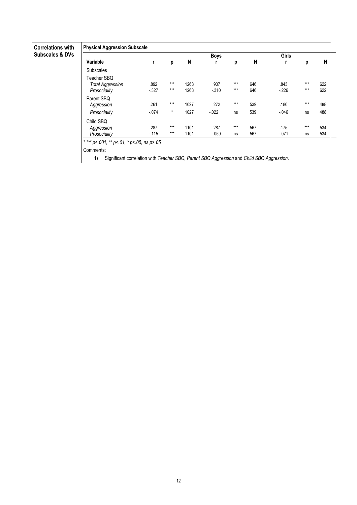| <b>Correlations with</b><br><b>Subscales &amp; DVs</b> | <b>Physical Aggression Subscale</b>                                                                          |                 |                  |              |                  |              |            |                  |                |            |
|--------------------------------------------------------|--------------------------------------------------------------------------------------------------------------|-----------------|------------------|--------------|------------------|--------------|------------|------------------|----------------|------------|
|                                                        |                                                                                                              |                 |                  |              | <b>Boys</b>      |              |            | <b>Girls</b>     |                |            |
|                                                        | Variable                                                                                                     |                 | р                | N            |                  | D            | N          |                  | D              | N          |
|                                                        | <b>Subscales</b>                                                                                             |                 |                  |              |                  |              |            |                  |                |            |
|                                                        | Teacher SBQ<br><b>Total Aggression</b><br>Prosociality                                                       | .892<br>$-327$  | $***$<br>$***$   | 1268<br>1268 | .907<br>$-310$   | ***<br>$***$ | 646<br>646 | .843<br>$-226$   | $***$<br>$***$ | 622<br>622 |
|                                                        | Parent SBQ<br>Aggression<br>Prosociality                                                                     | .261<br>$-.074$ | $***$<br>$\star$ | 1027<br>1027 | .272<br>$-0.022$ | ***<br>ns    | 539<br>539 | .180<br>$-0.046$ | $***$<br>ns    | 488<br>488 |
|                                                        | Child SBQ<br>Aggression                                                                                      | .287            | $***$            | 1101         | .287             | $***$        | 567        | .175             | $***$          | 534        |
|                                                        | Prosociality                                                                                                 | $-115$          | $***$            | 1101         | $-0.059$         | ns           | 567        | $-071$           | ns             | 534        |
|                                                        | *** $p$ < 001, ** $p$ < 01, * $p$ < 05, ns $p$ > 05                                                          |                 |                  |              |                  |              |            |                  |                |            |
|                                                        | Comments:<br>1)<br>Significant correlation with Teacher SBQ, Parent SBQ Aggression and Child SBQ Aggression. |                 |                  |              |                  |              |            |                  |                |            |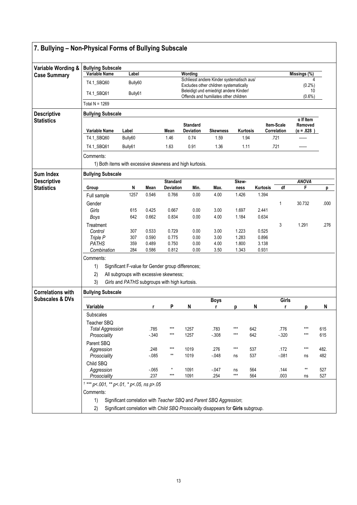| Variable Wording &                      | <b>Bullying Subscale</b>                                                                                 |            |                |                           |                                            |                                                                                     |                 |                   |             |                             |      |  |  |  |  |  |
|-----------------------------------------|----------------------------------------------------------------------------------------------------------|------------|----------------|---------------------------|--------------------------------------------|-------------------------------------------------------------------------------------|-----------------|-------------------|-------------|-----------------------------|------|--|--|--|--|--|
| <b>Case Summary</b>                     | <b>Variable Name</b>                                                                                     | Label      |                |                           | Wording                                    |                                                                                     |                 |                   |             | Missings (%)                |      |  |  |  |  |  |
|                                         | T4.1_SBQ60                                                                                               | Bully60    |                |                           |                                            | Schliesst andere Kinder systematisch aus/<br>Excludes other children systematically |                 |                   |             | (0.2%)<br>10                |      |  |  |  |  |  |
|                                         | Beleidigt und emiedrigt andere Kinder/<br>T4.1_SBQ61<br>Bully61<br>Offends and humiliates other children |            |                |                           |                                            |                                                                                     |                 |                   |             | $(0.6\%)$                   |      |  |  |  |  |  |
|                                         | Total N = $1269$                                                                                         |            |                |                           |                                            |                                                                                     |                 |                   |             |                             |      |  |  |  |  |  |
| <b>Descriptive</b>                      | <b>Bullying Subscale</b>                                                                                 |            |                |                           |                                            |                                                                                     |                 |                   |             |                             |      |  |  |  |  |  |
| <b>Statistics</b>                       |                                                                                                          |            |                |                           | <b>Standard</b>                            |                                                                                     |                 |                   | Item-Scale  | $\alpha$ If Item<br>Removed |      |  |  |  |  |  |
|                                         | <b>Variable Name</b>                                                                                     | Label      |                | Mean                      | <b>Deviation</b>                           | <b>Skewness</b>                                                                     | <b>Kurtosis</b> |                   | Correlation | $(\alpha = .828)$           |      |  |  |  |  |  |
|                                         | T4.1_SBQ60                                                                                               | Bully60    |                | 1.46                      | 0.74                                       | 1.59                                                                                | 1.94            |                   | .721        |                             |      |  |  |  |  |  |
|                                         | T4.1_SBQ61                                                                                               | Bully61    |                | 1.63                      | 0.91                                       | 1.36                                                                                | 1.11            |                   | .721        |                             |      |  |  |  |  |  |
|                                         | Comments:                                                                                                |            |                |                           |                                            |                                                                                     |                 |                   |             |                             |      |  |  |  |  |  |
|                                         | 1) Both items with excessive skewness and high kurtosis.                                                 |            |                |                           |                                            |                                                                                     |                 |                   |             |                             |      |  |  |  |  |  |
| Sum Index                               | <b>Bullying Subscale</b>                                                                                 |            |                |                           |                                            |                                                                                     |                 |                   |             |                             |      |  |  |  |  |  |
| <b>Descriptive</b><br><b>Statistics</b> |                                                                                                          |            |                | <b>Standard</b>           |                                            |                                                                                     | Skew-           |                   |             | <b>ANOVA</b>                |      |  |  |  |  |  |
|                                         | Group                                                                                                    | N<br>1257  | Mean<br>0.546  | <b>Deviation</b><br>0.766 | Min.<br>0.00                               | Max.<br>4.00                                                                        | ness<br>1.426   | Kurtosis<br>1.394 | df          | F.                          | р    |  |  |  |  |  |
|                                         | Full sample                                                                                              |            |                |                           |                                            |                                                                                     |                 |                   |             |                             |      |  |  |  |  |  |
|                                         | Gender<br>Girls                                                                                          | 615        | 0.425          | 0.667                     | 0.00                                       | 3.00                                                                                | 1.697           | 2.441             | 1           | 30.732                      | .000 |  |  |  |  |  |
|                                         | Boys                                                                                                     | 642        | 0.662          | 0.834                     | 0.00                                       | 4.00                                                                                | 1.184           | 0.634             |             |                             |      |  |  |  |  |  |
|                                         | Treatment                                                                                                |            |                |                           |                                            |                                                                                     |                 |                   | 3           | 1.291                       | .276 |  |  |  |  |  |
|                                         | Control                                                                                                  | 307        | 0.533          | 0.729                     | 0.00                                       | 3.00                                                                                | 1.223           | 0.525             |             |                             |      |  |  |  |  |  |
|                                         | Triple P<br><b>PATHS</b>                                                                                 | 307<br>359 | 0.590<br>0.489 | 0.775<br>0.750            | 0.00<br>0.00                               | 3.00<br>4.00                                                                        | 1.283<br>1.800  | 0.896<br>3.138    |             |                             |      |  |  |  |  |  |
|                                         | Combination                                                                                              | 284        | 0.586          | 0.812                     | 0.00                                       | 3.50                                                                                | 1.343           | 0.931             |             |                             |      |  |  |  |  |  |
|                                         | Comments:                                                                                                |            |                |                           |                                            |                                                                                     |                 |                   |             |                             |      |  |  |  |  |  |
|                                         | 1)<br>Significant F-value for Gender group differences;                                                  |            |                |                           |                                            |                                                                                     |                 |                   |             |                             |      |  |  |  |  |  |
|                                         | 2)<br>All subgroups with excessive skewness;                                                             |            |                |                           |                                            |                                                                                     |                 |                   |             |                             |      |  |  |  |  |  |
|                                         | 3)<br>Girls and PATHS subgroups with high kurtosis.                                                      |            |                |                           |                                            |                                                                                     |                 |                   |             |                             |      |  |  |  |  |  |
| <b>Correlations with</b>                | <b>Bullying Subscale</b>                                                                                 |            |                |                           |                                            |                                                                                     |                 |                   |             |                             |      |  |  |  |  |  |
| <b>Subscales &amp; DVs</b>              |                                                                                                          |            |                |                           |                                            | <b>Boys</b>                                                                         |                 |                   | Girls       |                             |      |  |  |  |  |  |
|                                         | Variable                                                                                                 |            | r              | P                         | N                                          | r                                                                                   | р               | N                 | r           | р                           | N    |  |  |  |  |  |
|                                         | Subscales                                                                                                |            |                |                           |                                            |                                                                                     |                 |                   |             |                             |      |  |  |  |  |  |
|                                         | Teacher SBQ<br><b>Total Aggression</b>                                                                   |            | .785           | ***                       | 1257                                       | .783                                                                                | ***             | 642               | .776        | $***$                       | 615  |  |  |  |  |  |
|                                         | Prosociality                                                                                             |            | $-340$         | ***                       | 1257                                       | $-308$                                                                              | ***             | 642               | $-320$      | $***$                       | 615  |  |  |  |  |  |
|                                         | Parent SBQ                                                                                               |            |                |                           |                                            |                                                                                     |                 |                   |             |                             |      |  |  |  |  |  |
|                                         | Aggression                                                                                               |            | .248           | ***<br>$^{\star\star}$    | 1019                                       | .276                                                                                | ***             | 537               | .172        | $***$                       | 482. |  |  |  |  |  |
|                                         | Prosociality                                                                                             |            | $-0.85$        |                           | 1019                                       | $-048$                                                                              | ns              | 537               | $-081$      | ns                          | 482  |  |  |  |  |  |
|                                         | Child SBQ<br>Aggression                                                                                  |            | $-065$         | $^\star$                  | 1091                                       | $-047$                                                                              | ns              | 564               | .144        | **                          | 527  |  |  |  |  |  |
|                                         | Prosociality                                                                                             |            | .237           | ***                       | 1091                                       | .254                                                                                | $***$           | 564               | .003        | ns                          | 527  |  |  |  |  |  |
|                                         |                                                                                                          |            |                |                           |                                            |                                                                                     |                 |                   |             |                             |      |  |  |  |  |  |
|                                         | Comments:                                                                                                |            |                |                           | $1***$ p<.001, ** p<.01, * p<.05, ns p>.05 |                                                                                     |                 |                   |             |                             |      |  |  |  |  |  |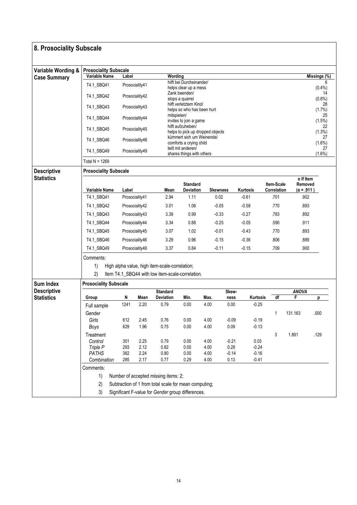| 8. Prosociality Subscale                |                                                      |            |                |                                                       |                                                       |                 |                 |                    |                                  |                                                  |                 |  |  |  |  |
|-----------------------------------------|------------------------------------------------------|------------|----------------|-------------------------------------------------------|-------------------------------------------------------|-----------------|-----------------|--------------------|----------------------------------|--------------------------------------------------|-----------------|--|--|--|--|
|                                         |                                                      |            |                |                                                       |                                                       |                 |                 |                    |                                  |                                                  |                 |  |  |  |  |
| Variable Wording &                      | <b>Prosociality Subscale</b>                         |            |                |                                                       |                                                       |                 |                 |                    |                                  |                                                  |                 |  |  |  |  |
| <b>Case Summary</b>                     | Variable Name                                        | Label      |                | Wording                                               |                                                       |                 |                 |                    |                                  |                                                  | Missings (%)    |  |  |  |  |
|                                         | T4.1 SBQ41                                           |            | Prosociality41 |                                                       | hilft bei Durcheinander/<br>helps clear up a mess     |                 |                 |                    |                                  |                                                  | 6<br>(0.4% )    |  |  |  |  |
|                                         | T4.1_SBQ42                                           |            | Prosociality42 |                                                       | Zank beenden/<br>stops a quarrel                      |                 |                 |                    |                                  |                                                  | 14<br>$(0.8\%)$ |  |  |  |  |
|                                         | T4.1_SBQ43                                           |            | Prosociality43 |                                                       | hilft verletztem Kind/<br>helps so who has been hurt  |                 |                 |                    |                                  | 28<br>$(1.7\%)$                                  |                 |  |  |  |  |
|                                         | T4.1_SBQ44                                           |            | Prosociality44 | mitspielen/                                           | invites to join a game                                |                 |                 |                    |                                  |                                                  | 25<br>(1.5%)    |  |  |  |  |
|                                         | T4.1_SBQ45                                           |            | Prosociality45 |                                                       | hilft aufzuheben/<br>helps to pick up dropped objects |                 |                 |                    |                                  |                                                  | 22<br>$(1.3\%)$ |  |  |  |  |
|                                         | T4.1_SBQ46                                           |            | Prosociality46 |                                                       | kümmert sich um Weinende/<br>comforts a crying child  |                 |                 |                    |                                  |                                                  | 27<br>(1.6%)    |  |  |  |  |
|                                         | T4.1_SBQ49                                           |            | Prosociality49 |                                                       | teilt mit anderen/<br>shares things with others       |                 |                 |                    |                                  |                                                  | 27<br>(1.6%)    |  |  |  |  |
|                                         | Total $N = 1269$                                     |            |                |                                                       |                                                       |                 |                 |                    |                                  |                                                  |                 |  |  |  |  |
| <b>Descriptive</b>                      | <b>Prosociality Subscale</b>                         |            |                |                                                       |                                                       |                 |                 |                    |                                  |                                                  |                 |  |  |  |  |
| <b>Statistics</b>                       | Variable Name                                        | Label      |                | Mean                                                  | <b>Standard</b><br><b>Deviation</b>                   | <b>Skewness</b> |                 | Kurtosis           | <b>Item-Scale</b><br>Correlation | $\alpha$ If Item<br>Removed<br>$(\alpha = .911)$ |                 |  |  |  |  |
|                                         | T4.1_SBQ41                                           |            | Prosociality41 | 2.94                                                  | 1.11                                                  | 0.02            |                 | $-0.61$            | .701                             | .902                                             |                 |  |  |  |  |
|                                         | T4.1_SBQ42                                           |            | Prosociality42 | 3.01                                                  | 1.06                                                  | $-0.05$         |                 | $-0.58$            | .770                             | .893                                             |                 |  |  |  |  |
|                                         | T4.1 SBQ43                                           |            | Prosociality43 | 3.39                                                  | 0.99                                                  | $-0.33$         |                 | $-0.27$            | .783                             | .892                                             |                 |  |  |  |  |
|                                         | T4.1_SBQ44                                           |            | Prosociality44 | 3.34                                                  | 0.88                                                  | $-0.25$         |                 | $-0.05$            | .590                             | .911                                             |                 |  |  |  |  |
|                                         | T4.1_SBQ45                                           |            | Prosociality45 | 3.07                                                  | 1.02                                                  | $-0.01$         |                 | $-0.43$            | .770                             | .893                                             |                 |  |  |  |  |
|                                         | T4.1_SBQ46                                           |            | Prosociality46 | 3.29                                                  | 0.96                                                  | $-0.15$         |                 | $-0.36$            | .806                             | .889                                             |                 |  |  |  |  |
|                                         | T4.1_SBQ49                                           |            | Prosociality49 | 3.37                                                  | 0.84                                                  | $-0.11$         |                 | $-0.15$            | .709                             | .900                                             |                 |  |  |  |  |
|                                         | Comments:                                            |            |                |                                                       |                                                       |                 |                 |                    |                                  |                                                  |                 |  |  |  |  |
|                                         | High alpha value, high item-scale-correlation;<br>1) |            |                |                                                       |                                                       |                 |                 |                    |                                  |                                                  |                 |  |  |  |  |
|                                         | 2)                                                   |            |                | Item T4.1_SBQ44 with low item-scale-correlation.      |                                                       |                 |                 |                    |                                  |                                                  |                 |  |  |  |  |
| <b>Sum Index</b>                        | <b>Prosociality Subscale</b>                         |            |                |                                                       |                                                       |                 |                 |                    |                                  |                                                  |                 |  |  |  |  |
| <b>Descriptive</b><br><b>Statistics</b> | Group                                                | N          | Mean           | <b>Standard</b><br><b>Deviation</b>                   | Min.                                                  | Max.            | Skew-<br>ness   | Kurtosis           | df                               | <b>ANOVA</b><br>F                                |                 |  |  |  |  |
|                                         | Full sample                                          | 1241       | 2.20           | 0.79                                                  | 0.00                                                  | 4.00            | 0.00            | $-0.25$            |                                  |                                                  | р               |  |  |  |  |
|                                         | Gender                                               |            |                |                                                       |                                                       |                 |                 |                    | 1                                | 131.163                                          | .000            |  |  |  |  |
|                                         | Girls                                                | 612        | 2.45           | 0.76                                                  | 0.00                                                  | 4.00            | $-0.09$         | $-0.19$            |                                  |                                                  |                 |  |  |  |  |
|                                         | Boys                                                 | 629        | 1.96           | 0.75                                                  | 0.00                                                  | 4.00            | 0.09            | $-0.13$            |                                  |                                                  |                 |  |  |  |  |
|                                         | Treatment                                            |            |                |                                                       |                                                       |                 |                 |                    | 3                                | 1.891                                            | .129            |  |  |  |  |
|                                         | Control                                              | 301        | 2.25           | 0.79                                                  | 0.00                                                  | 4.00            | $-0.21$         | 0.03               |                                  |                                                  |                 |  |  |  |  |
|                                         | Triple P<br><b>PATHS</b>                             | 293<br>362 | 2.12<br>2.24   | 0.82<br>0.80                                          | 0.00<br>0.00                                          | 4.00<br>4.00    | 0.28<br>$-0.14$ | $-0.24$<br>$-0.16$ |                                  |                                                  |                 |  |  |  |  |
|                                         | Combination                                          | 285        | 2.17           | 0.77                                                  | 0.29                                                  | 4.00            | 0.13            | $-0.41$            |                                  |                                                  |                 |  |  |  |  |
|                                         | Comments:                                            |            |                |                                                       |                                                       |                 |                 |                    |                                  |                                                  |                 |  |  |  |  |
|                                         | 1)                                                   |            |                | Number of accepted missing items: 2;                  |                                                       |                 |                 |                    |                                  |                                                  |                 |  |  |  |  |
|                                         | 2)                                                   |            |                | Subtraction of 1 from total scale for mean computing; |                                                       |                 |                 |                    |                                  |                                                  |                 |  |  |  |  |
|                                         | 3)                                                   |            |                | Significant F-value for Gender group differences.     |                                                       |                 |                 |                    |                                  |                                                  |                 |  |  |  |  |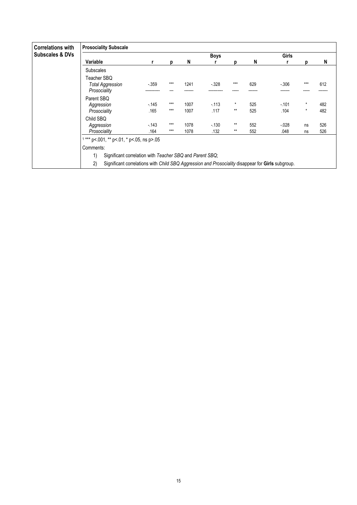| <b>Correlations with</b>   | <b>Prosociality Subscale</b>                                                                                                                                              |                |                |              |                |              |            |                  |                    |            |  |  |
|----------------------------|---------------------------------------------------------------------------------------------------------------------------------------------------------------------------|----------------|----------------|--------------|----------------|--------------|------------|------------------|--------------------|------------|--|--|
| <b>Subscales &amp; DVs</b> |                                                                                                                                                                           |                |                |              | <b>Boys</b>    |              |            | Girls            |                    |            |  |  |
|                            | Variable                                                                                                                                                                  |                | р              | N            |                | D            | N          |                  | D                  | N          |  |  |
|                            | <b>Subscales</b>                                                                                                                                                          |                |                |              |                |              |            |                  |                    |            |  |  |
|                            | Teacher SBQ<br><b>Total Aggression</b><br>Prosociality                                                                                                                    | $-359$         | $***$          | 1241         | $-328$         | ***          | 629        | $-0.306$         | ***                | 612        |  |  |
|                            | Parent SBQ<br>Aggression<br>Prosociality                                                                                                                                  | $-145$<br>.165 | $***$<br>$***$ | 1007<br>1007 | $-113$<br>.117 | *<br>$**$    | 525<br>525 | $-101$<br>.104   | $\star$<br>$\star$ | 482<br>482 |  |  |
|                            | Child SBQ<br>Aggression<br>Prosociality                                                                                                                                   | $-143$<br>.164 | $***$<br>$***$ | 1078<br>1078 | $-130$<br>.132 | $**$<br>$**$ | 552<br>552 | $-0.028$<br>.048 | ns<br>ns           | 526<br>526 |  |  |
|                            | $1***$ p<.001, ** p<.01, * p<.05, ns p>.05<br>Comments:                                                                                                                   |                |                |              |                |              |            |                  |                    |            |  |  |
|                            | Significant correlation with Teacher SBQ and Parent SBQ;<br>1)<br>2)<br>Significant correlations with Child SBQ Aggression and Prosociality disappear for Girls subgroup. |                |                |              |                |              |            |                  |                    |            |  |  |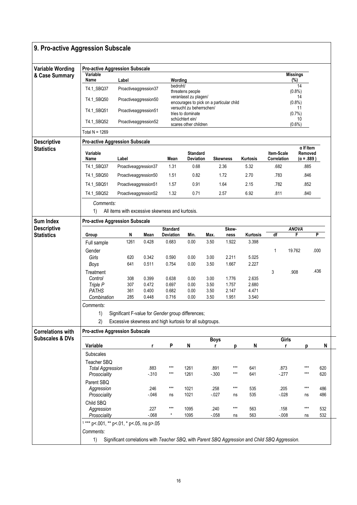| 9. Pro-active Aggression Subscale |                                            |                                                         |                |                    |                                                                   |                  |                        |                                                                                                 |                           |              |                                                  |            |
|-----------------------------------|--------------------------------------------|---------------------------------------------------------|----------------|--------------------|-------------------------------------------------------------------|------------------|------------------------|-------------------------------------------------------------------------------------------------|---------------------------|--------------|--------------------------------------------------|------------|
| <b>Variable Wording</b>           | <b>Pro-active Aggression Subscale</b>      |                                                         |                |                    |                                                                   |                  |                        |                                                                                                 |                           |              |                                                  |            |
| & Case Summary                    | Variable<br>Name                           | Label                                                   |                | Wording            |                                                                   |                  | <b>Missings</b><br>(%) |                                                                                                 |                           |              |                                                  |            |
|                                   | T4.1_SBQ37                                 | Proactiveaggression37                                   |                | bedroht/           | threatens people                                                  |                  |                        | 14<br>(0.8%                                                                                     |                           |              |                                                  |            |
|                                   | T4.1_SBQ50                                 | Proactiveaggression50                                   |                |                    | veranlasst zu plagen/<br>encourages to pick on a particular child |                  |                        |                                                                                                 | 14<br>(0.8%               |              |                                                  |            |
|                                   | T4.1_SBQ51                                 | Proactiveaggression51                                   |                |                    | versucht zu beherrschen/<br>tries to dominate                     |                  |                        |                                                                                                 |                           |              |                                                  |            |
|                                   | T4.1_SBQ52                                 | Proactiveaggression52                                   |                |                    | schüchtert ein/<br>scares other children                          |                  |                        |                                                                                                 |                           |              |                                                  |            |
|                                   | Total N = $1269$                           |                                                         |                |                    |                                                                   |                  |                        |                                                                                                 |                           |              |                                                  |            |
| <b>Descriptive</b>                | <b>Pro-active Aggression Subscale</b>      |                                                         |                |                    |                                                                   |                  |                        |                                                                                                 |                           |              |                                                  |            |
| <b>Statistics</b>                 | Variable<br>Name                           | Label                                                   |                | Mean               | <b>Standard</b><br>Deviation                                      |                  | <b>Skewness</b>        | Kurtosis                                                                                        | Item-Scale<br>Correlation |              | $\alpha$ If Item<br>Removed<br>$(\alpha = .889)$ |            |
|                                   | T4.1_SBQ37                                 | Proactiveaggression37                                   |                | 1.31               | 0.68                                                              |                  | 2.36                   | 5.32                                                                                            | .682                      |              | .885                                             |            |
|                                   | T4.1_SBQ50                                 | Proactiveaggression50                                   |                | 1.51               | 0.82                                                              |                  | 1.72                   | 2.70                                                                                            | .783                      |              | .846                                             |            |
|                                   | T4.1 SBQ51                                 | Proactiveaggression51                                   |                | 1.57               | 0.91                                                              |                  | 1.64                   | 2.15                                                                                            | .782                      |              | .852                                             |            |
|                                   | T4.1_SBQ52                                 | Proactiveaggression52                                   |                | 1.32               | 0.71                                                              |                  | 2.57                   | 6.92                                                                                            | .811                      |              | .840                                             |            |
|                                   | Comments:                                  |                                                         |                |                    |                                                                   |                  |                        |                                                                                                 |                           |              |                                                  |            |
|                                   | 1)                                         | All items with excessive skewness and kurtosis.         |                |                    |                                                                   |                  |                        |                                                                                                 |                           |              |                                                  |            |
| <b>Sum Index</b>                  | <b>Pro-active Aggression Subscale</b>      |                                                         |                |                    |                                                                   |                  |                        |                                                                                                 |                           |              |                                                  |            |
| <b>Descriptive</b>                |                                            |                                                         |                | <b>Standard</b>    |                                                                   |                  | Skew-                  |                                                                                                 |                           | <b>ANOVA</b> |                                                  |            |
| <b>Statistics</b>                 | Group                                      | N<br>1261                                               | Mean<br>0.428  | Deviation<br>0.683 | Min.<br>0.00                                                      | Max.<br>3.50     | ness<br>1.922          | Kurtosis<br>3.398                                                                               | df                        | F            |                                                  | P          |
|                                   | Full sample                                |                                                         |                |                    |                                                                   |                  |                        |                                                                                                 |                           |              |                                                  |            |
|                                   | Gender<br>Girls                            | 620                                                     | 0.342          | 0.590              | 0.00                                                              | 3.00             | 2.211                  | 5.025                                                                                           | 1                         | 19.762       |                                                  | .000       |
|                                   | Boys                                       | 641                                                     | 0.511          | 0.754              | 0.00                                                              | 3.50             | 1.667                  | 2.227                                                                                           |                           |              |                                                  |            |
|                                   | Treatment                                  |                                                         |                |                    |                                                                   |                  |                        |                                                                                                 | 3                         | .908         |                                                  | .436       |
|                                   | Control                                    | 308                                                     | 0.399          | 0.638              | 0.00                                                              | 3.00             | 1.776                  | 2.635                                                                                           |                           |              |                                                  |            |
|                                   | Triple P                                   | 307                                                     | 0.472          | 0.697              | 0.00                                                              | 3.50             | 1.757                  | 2.680                                                                                           |                           |              |                                                  |            |
|                                   | <b>PATHS</b><br>Combination                | 361<br>285                                              | 0.400<br>0.448 | 0.682<br>0.716     | 0.00<br>0.00                                                      | 3.50<br>3.50     | 2.147<br>1.951         | 4.471<br>3.540                                                                                  |                           |              |                                                  |            |
|                                   | Comments:                                  |                                                         |                |                    |                                                                   |                  |                        |                                                                                                 |                           |              |                                                  |            |
|                                   | 1)                                         | Significant F-value for Gender group differences;       |                |                    |                                                                   |                  |                        |                                                                                                 |                           |              |                                                  |            |
|                                   | 2)                                         | Excessive skewness and high kurtosis for all subgroups. |                |                    |                                                                   |                  |                        |                                                                                                 |                           |              |                                                  |            |
| <b>Correlations with</b>          | <b>Pro-active Aggression Subscale</b>      |                                                         |                |                    |                                                                   |                  |                        |                                                                                                 |                           |              |                                                  |            |
| <b>Subscales &amp; DVs</b>        |                                            |                                                         |                |                    |                                                                   | <b>Boys</b>      |                        |                                                                                                 |                           | Girls        |                                                  |            |
|                                   | Variable                                   |                                                         | r              | P                  | N                                                                 | r                | р                      | N                                                                                               |                           | r            | p                                                | N          |
|                                   | <b>Subscales</b>                           |                                                         |                |                    |                                                                   |                  |                        |                                                                                                 |                           |              |                                                  |            |
|                                   | Teacher SBQ                                |                                                         |                |                    |                                                                   |                  |                        |                                                                                                 |                           |              |                                                  |            |
|                                   | <b>Total Aggression</b>                    |                                                         | .883           | $***$              | 1261                                                              | .891             | $***$                  | 641                                                                                             |                           | .873         | ***                                              | 620        |
|                                   | Prosociality                               |                                                         | $-310$         | $***$              | 1261                                                              | $-0.300$         | $***$                  | 641                                                                                             | $-277$                    |              | $***$                                            | 620        |
|                                   | Parent SBQ                                 |                                                         |                | $***$              |                                                                   |                  | $***$                  |                                                                                                 |                           |              | ***                                              |            |
|                                   | Aggression<br>Prosociality                 |                                                         | .246<br>$-046$ | ns                 | 1021<br>1021                                                      | .258<br>$-0.027$ | ns                     | 535<br>535                                                                                      | $-0.028$                  | .205         | ns                                               | 486<br>486 |
|                                   | Child SBQ                                  |                                                         |                |                    |                                                                   |                  |                        |                                                                                                 |                           |              |                                                  |            |
|                                   | Aggression                                 |                                                         | .227           | $***$              | 1095                                                              | .240             | $***$                  | 563                                                                                             |                           | .158         | ***                                              | 532        |
|                                   | Prosociality                               |                                                         | $-068$         | $^{\star}$         | 1095                                                              | $-0.058$         | ns                     | 563                                                                                             | $-0.08$                   |              | ns                                               | 532        |
|                                   | $1***$ p<.001, ** p<.01, * p<.05, ns p>.05 |                                                         |                |                    |                                                                   |                  |                        |                                                                                                 |                           |              |                                                  |            |
|                                   | Comments:                                  |                                                         |                |                    |                                                                   |                  |                        |                                                                                                 |                           |              |                                                  |            |
|                                   | 1)                                         |                                                         |                |                    |                                                                   |                  |                        | Significant correlations with Teacher SBQ, with Parent SBQ Aggression and Child SBQ Aggression. |                           |              |                                                  |            |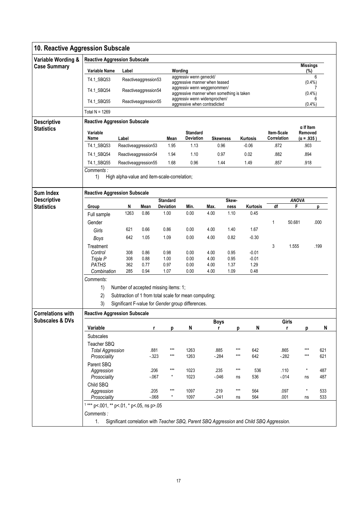| 10. Reactive Aggression Subscale |                                            |                                              |                      |                  |                                                                                           |                 |                |                 |             |              |                             |      |  |  |
|----------------------------------|--------------------------------------------|----------------------------------------------|----------------------|------------------|-------------------------------------------------------------------------------------------|-----------------|----------------|-----------------|-------------|--------------|-----------------------------|------|--|--|
| Variable Wording &               | <b>Reactive Aggression Subscale</b>        |                                              |                      |                  |                                                                                           |                 |                |                 |             |              | <b>Missings</b>             |      |  |  |
| <b>Case Summary</b>              | Variable Name                              | Label                                        |                      |                  | Wording                                                                                   |                 |                |                 |             |              | (%)                         |      |  |  |
|                                  | T4.1_SBQ53                                 |                                              | Reactiveaggression53 |                  | aggressiv wenn geneckt/<br>aggressive manner when teased                                  |                 |                |                 |             |              | $(0.4\%)$                   | 6    |  |  |
|                                  | T4.1_SBQ54                                 |                                              | Reactiveaggression54 |                  | aggressiv wenn weggenommen/<br>aggressive manner when something is taken                  |                 |                |                 |             |              | (0.4% )                     | 7    |  |  |
|                                  | T4.1_SBQ55                                 |                                              | Reactiveaggression55 |                  | aggressiv wenn widersprochen/<br>aggressive when contradicted                             |                 | 6<br>$(0.4\%)$ |                 |             |              |                             |      |  |  |
|                                  | Total $N = 1269$                           |                                              |                      |                  |                                                                                           |                 |                |                 |             |              |                             |      |  |  |
| <b>Descriptive</b>               | <b>Reactive Aggression Subscale</b>        |                                              |                      |                  |                                                                                           |                 |                |                 |             |              |                             |      |  |  |
| <b>Statistics</b>                | Variable                                   |                                              |                      |                  | <b>Standard</b>                                                                           |                 |                |                 | Item-Scale  |              | $\alpha$ If Item<br>Removed |      |  |  |
|                                  | Name                                       | Label                                        |                      | Mean             | Deviation                                                                                 | <b>Skewness</b> |                | Kurtosis        | Correlation |              | $(\alpha = .935)$           |      |  |  |
|                                  | T4.1_SBQ53                                 | Reactiveaggression53                         |                      | 1.95             | 1.13                                                                                      | 0.96            |                | $-0.06$         | .872        |              | .903                        |      |  |  |
|                                  | T4.1_SBQ54                                 | Reactiveaggression54                         |                      | 1.94             | 1.10                                                                                      | 0.97            |                | 0.02            | .882        |              | .894                        |      |  |  |
|                                  | T4.1_SBQ55                                 | Reactiveaggression55                         |                      | 1.68             | 0.96                                                                                      | 1.44            |                | 1.49            | .857        |              | .918                        |      |  |  |
|                                  | Comments:                                  |                                              |                      |                  |                                                                                           |                 |                |                 |             |              |                             |      |  |  |
|                                  | 1)                                         | High alpha-value and item-scale-correlation; |                      |                  |                                                                                           |                 |                |                 |             |              |                             |      |  |  |
| <b>Sum Index</b>                 | <b>Reactive Aggression Subscale</b>        |                                              |                      |                  |                                                                                           |                 |                |                 |             |              |                             |      |  |  |
| <b>Descriptive</b>               |                                            |                                              |                      | <b>Standard</b>  |                                                                                           |                 | Skew-          |                 |             | <b>ANOVA</b> |                             |      |  |  |
| <b>Statistics</b>                | Group                                      | N                                            | Mean                 | <b>Deviation</b> | Min.                                                                                      | Max.            | ness           | Kurtosis        | df          | F            |                             | p    |  |  |
|                                  | Full sample                                | 1263                                         | 0.86                 | 1.00             | 0.00                                                                                      | 4.00            | 1.10           | 0.45            |             |              |                             |      |  |  |
|                                  | Gender                                     |                                              |                      |                  |                                                                                           |                 |                |                 | 1           | 50.681       |                             | .000 |  |  |
|                                  | Girls                                      | 621                                          | 0.66                 | 0.86             | 0.00                                                                                      | 4.00            | 1.40           | 1.67            |             |              |                             |      |  |  |
|                                  | Boys                                       | 642                                          | 1.05                 | 1.09             | 0.00                                                                                      | 4.00            | 0.82           | $-0.30$         |             |              |                             |      |  |  |
|                                  | Treatment                                  |                                              |                      |                  |                                                                                           |                 |                |                 | 3           | 1.555        |                             | .199 |  |  |
|                                  | Control                                    | 308                                          | 0.86                 | 0.98             | 0.00                                                                                      | 4.00            | 0.95           | $-0.01$         |             |              |                             |      |  |  |
|                                  | Triple P<br><b>PATHS</b>                   | 308<br>362                                   | 0.88<br>0.77         | 1.00<br>0.97     | 0.00<br>0.00                                                                              | 4.00<br>4.00    | 0.95<br>1.37   | $-0.01$<br>1.29 |             |              |                             |      |  |  |
|                                  | Combination                                | 285                                          | 0.94                 | 1.07             | 0.00                                                                                      | 4.00            | 1.09           | 0.48            |             |              |                             |      |  |  |
|                                  | Comments:                                  |                                              |                      |                  |                                                                                           |                 |                |                 |             |              |                             |      |  |  |
|                                  | 1)                                         | Number of accepted missing items: 1;         |                      |                  |                                                                                           |                 |                |                 |             |              |                             |      |  |  |
|                                  | 2)                                         |                                              |                      |                  | Subtraction of 1 from total scale for mean computing;                                     |                 |                |                 |             |              |                             |      |  |  |
|                                  | 3)                                         |                                              |                      |                  | Significant F-value for Gender group differences.                                         |                 |                |                 |             |              |                             |      |  |  |
| <b>Correlations with</b>         | <b>Reactive Aggression Subscale</b>        |                                              |                      |                  |                                                                                           |                 |                |                 |             |              |                             |      |  |  |
| <b>Subscales &amp; DVs</b>       |                                            |                                              |                      |                  |                                                                                           | <b>Boys</b>     |                |                 |             | Girls        |                             |      |  |  |
|                                  | Variable                                   |                                              | r                    | р                | N                                                                                         | r               | р              | N               |             | r            | p                           | N    |  |  |
|                                  | Subscales                                  |                                              |                      |                  |                                                                                           |                 |                |                 |             |              |                             |      |  |  |
|                                  | Teacher SBQ                                |                                              |                      |                  |                                                                                           |                 |                |                 |             |              |                             |      |  |  |
|                                  | <b>Total Aggression</b>                    |                                              | .881                 | $***$<br>$***$   | 1263                                                                                      | .885            | ***<br>$***$   | 642             |             | .865         | ***<br>***                  | 621  |  |  |
|                                  | Prosociality                               |                                              | $-323$               |                  | 1263                                                                                      | $-284$          |                | 642             |             | $-282$       |                             | 621  |  |  |
|                                  | Parent SBQ<br>Aggression                   |                                              | .206                 | $***$            | 1023                                                                                      | .235            | $***$          | 536             |             | .110         | $^{\star}$                  | 487  |  |  |
|                                  | Prosociality                               |                                              | $-067$               | $^\star$         | 1023                                                                                      | $-0.046$        | ns             | 536             |             | $-014$       | ns                          | 487  |  |  |
|                                  | Child SBQ                                  |                                              |                      |                  |                                                                                           |                 |                |                 |             |              |                             |      |  |  |
|                                  | Aggression                                 |                                              | .205                 | $***$            | 1097                                                                                      | .219            | $***$          | 564             |             | .097         | $\star$                     | 533  |  |  |
|                                  | Prosociality                               |                                              | $-068$               | $^\star$         | 1097                                                                                      | $-041$          | ns             | 564             |             | .001         | ns                          | 533  |  |  |
|                                  | $1***$ p<.001, ** p<.01, * p<.05, ns p>.05 |                                              |                      |                  |                                                                                           |                 |                |                 |             |              |                             |      |  |  |
|                                  | Comments:                                  |                                              |                      |                  |                                                                                           |                 |                |                 |             |              |                             |      |  |  |
|                                  | 1.                                         |                                              |                      |                  | Significant correlation with Teacher SBQ, Parent SBQ Aggression and Child SBQ Aggression. |                 |                |                 |             |              |                             |      |  |  |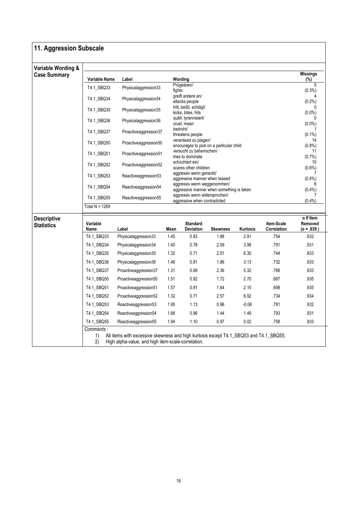| Variable Wording &<br><b>Case Summary</b> |                  |                       |                                                                          |                                                          |                                          |          |                           | <b>Missings</b>        |  |  |
|-------------------------------------------|------------------|-----------------------|--------------------------------------------------------------------------|----------------------------------------------------------|------------------------------------------|----------|---------------------------|------------------------|--|--|
|                                           | Variable Name    | Label                 |                                                                          | Wording<br>Prügeleien/                                   |                                          |          |                           | (%)<br>5               |  |  |
|                                           | T4.1_SBQ33       | Physicalaggression33  | fights                                                                   |                                                          |                                          |          |                           | $(0.3\%)$              |  |  |
|                                           | T4.1 SBQ34       | Physicalaggression34  |                                                                          | greift andere an/<br>attacks people                      |                                          |          |                           | $(0.2\%)$              |  |  |
|                                           | T4.1_SBQ35       | Physicalaggression35  |                                                                          | tritt, beißt, schlägt/<br>kicks, bites, hits             |                                          |          |                           | $(0.0\%)$              |  |  |
|                                           | T4.1_SBQ36       | Physicalaggression36  |                                                                          | quält, tyrannisiert/<br>cruel, mean                      |                                          |          |                           | 0<br>$(0.0\%)$         |  |  |
|                                           | T4.1_SBQ37       | Proactiveaggression37 |                                                                          | bedroht/<br>threatens people                             |                                          |          |                           | $(0.1\%)$              |  |  |
|                                           | T4.1_SBQ50       | Proactiveaggression50 |                                                                          | veranlasst zu plagen/                                    | encourages to pick on a particular child |          |                           | 14<br>$(0.8\%)$        |  |  |
|                                           | T4.1_SBQ51       | Proactiveaggression51 |                                                                          | versucht zu beherrschen/<br>tries to dominate            |                                          |          |                           | 11<br>(0.7%)           |  |  |
|                                           | T4.1_SBQ52       | Proactiveaggression52 |                                                                          | schüchtert ein/<br>scares other children                 |                                          |          |                           | 10<br>$(0.6\%)$        |  |  |
|                                           | T4.1_SBQ53       | Reactiveaggression53  |                                                                          | aggressiv wenn geneckt/<br>aggressive manner when teased |                                          |          |                           |                        |  |  |
|                                           | T4.1_SBQ54       | Reactiveaggression54  | aggressiv wenn weggenommen/<br>aggressive manner when something is taken | $(0.4\%)$<br>$(0.4\%)$                                   |                                          |          |                           |                        |  |  |
|                                           | T4.1_SBQ55       | Reactiveaggression55  | aggressiv wenn widersprochen/<br>aggressive when contradicted            | $(0.4\%)$                                                |                                          |          |                           |                        |  |  |
|                                           | Total N = 1269   |                       |                                                                          |                                                          |                                          |          |                           |                        |  |  |
| <b>Descriptive</b>                        |                  |                       |                                                                          |                                                          |                                          |          |                           | $\alpha$ If Item       |  |  |
|                                           | Variable<br>Name | Label                 | Mean                                                                     | <b>Standard</b><br><b>Deviation</b>                      | <b>Skewness</b>                          | Kurtosis | Item-Scale<br>Correlation | Removed<br>(α = .939 ) |  |  |
|                                           | T4.1_SBQ33       | Physicalaggression33  | 1.45                                                                     | 0.83                                                     | 1.88                                     | 2.91     | .754                      | .932                   |  |  |
|                                           | T4.1_SBQ34       | Physicalaggression34  | 1.40                                                                     | 0.78                                                     | 2.09                                     | 3.98     | .791                      | .931                   |  |  |
|                                           | T4.1_SBQ35       | Physicalaggression35  | 1.32                                                                     | 0.71                                                     | 2.51                                     | 6.30     | .744                      | .933                   |  |  |
|                                           | T4.1_SBQ36       | Physicalaggression36  | 1.46                                                                     | 0.81                                                     | 1.86                                     | 3.13     | .732                      | .933                   |  |  |
|                                           | T4.1_SBQ37       | Proactiveaggression37 | 1.31                                                                     | 0.68                                                     | 2.36                                     | 5.32     | .766                      | .933                   |  |  |
|                                           | T4.1_SBQ50       | Proactiveaggression50 | 1.51                                                                     | 0.82                                                     | 1.72                                     | 2.70     | .687                      | .935                   |  |  |
|                                           | T4.1_SBQ51       | Proactiveaggression51 | 1.57                                                                     | 0.91                                                     | 1.64                                     | 2.15     | .698                      | .935                   |  |  |
|                                           | T4.1_SBQ52       | Proactiveaggression52 | 1.32                                                                     | 0.71                                                     | 2.57                                     | 6.92     | .734                      | .934                   |  |  |
|                                           | T4.1_SBQ53       | Reactiveaggression53  | 1.95                                                                     | 1.13                                                     | 0.96                                     | $-0.06$  | .781                      | .932                   |  |  |
|                                           |                  |                       | 1.68                                                                     | 0.96                                                     | 1.44                                     | 1.49     | .793                      | .931                   |  |  |
|                                           | T4.1_SBQ54       | Reactiveaggression54  |                                                                          |                                                          |                                          |          |                           |                        |  |  |